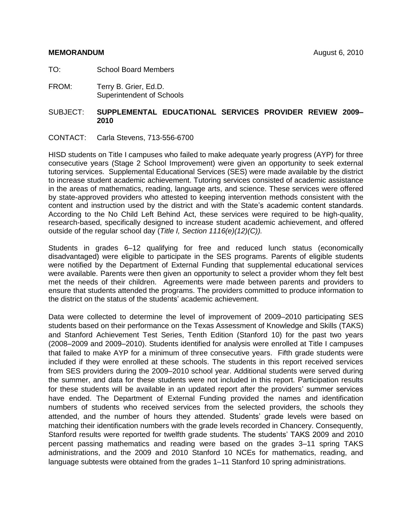## **MEMORANDUM** August 6, 2010

- TO: School Board Members
- FROM: Terry B. Grier, Ed.D. Superintendent of Schools

## SUBJECT: **SUPPLEMENTAL EDUCATIONAL SERVICES PROVIDER REVIEW 2009– 2010**

CONTACT: Carla Stevens, 713-556-6700

HISD students on Title I campuses who failed to make adequate yearly progress (AYP) for three consecutive years (Stage 2 School Improvement) were given an opportunity to seek external tutoring services. Supplemental Educational Services (SES) were made available by the district to increase student academic achievement. Tutoring services consisted of academic assistance in the areas of mathematics, reading, language arts, and science. These services were offered by state-approved providers who attested to keeping intervention methods consistent with the content and instruction used by the district and with the State's academic content standards. According to the No Child Left Behind Act, these services were required to be high-quality, research-based, specifically designed to increase student academic achievement, and offered outside of the regular school day (*Title I, Section 1116(e)(12)(C)).*

Students in grades 6–12 qualifying for free and reduced lunch status (economically disadvantaged) were eligible to participate in the SES programs. Parents of eligible students were notified by the Department of External Funding that supplemental educational services were available. Parents were then given an opportunity to select a provider whom they felt best met the needs of their children. Agreements were made between parents and providers to ensure that students attended the programs. The providers committed to produce information to the district on the status of the students' academic achievement.

Data were collected to determine the level of improvement of 2009–2010 participating SES students based on their performance on the Texas Assessment of Knowledge and Skills (TAKS) and Stanford Achievement Test Series, Tenth Edition (Stanford 10) for the past two years (2008–2009 and 2009–2010). Students identified for analysis were enrolled at Title I campuses that failed to make AYP for a minimum of three consecutive years. Fifth grade students were included if they were enrolled at these schools. The students in this report received services from SES providers during the 2009–2010 school year. Additional students were served during the summer, and data for these students were not included in this report. Participation results for these students will be available in an updated report after the providers' summer services have ended. The Department of External Funding provided the names and identification numbers of students who received services from the selected providers, the schools they attended, and the number of hours they attended. Students' grade levels were based on matching their identification numbers with the grade levels recorded in Chancery. Consequently, Stanford results were reported for twelfth grade students. The students' TAKS 2009 and 2010 percent passing mathematics and reading were based on the grades 3–11 spring TAKS administrations, and the 2009 and 2010 Stanford 10 NCEs for mathematics, reading, and language subtests were obtained from the grades 1–11 Stanford 10 spring administrations.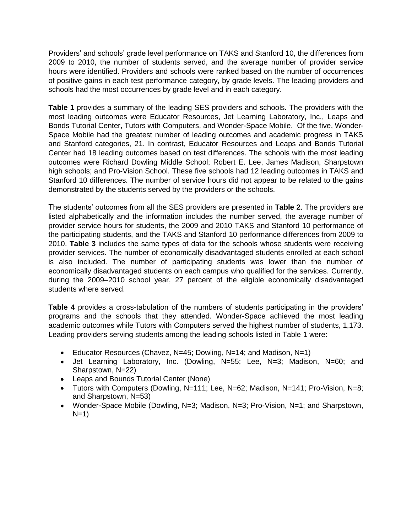Providers' and schools' grade level performance on TAKS and Stanford 10, the differences from 2009 to 2010, the number of students served, and the average number of provider service hours were identified. Providers and schools were ranked based on the number of occurrences of positive gains in each test performance category, by grade levels. The leading providers and schools had the most occurrences by grade level and in each category.

**Table 1** provides a summary of the leading SES providers and schools. The providers with the most leading outcomes were Educator Resources, Jet Learning Laboratory, Inc., Leaps and Bonds Tutorial Center, Tutors with Computers, and Wonder-Space Mobile. Of the five, Wonder-Space Mobile had the greatest number of leading outcomes and academic progress in TAKS and Stanford categories, 21. In contrast, Educator Resources and Leaps and Bonds Tutorial Center had 18 leading outcomes based on test differences. The schools with the most leading outcomes were Richard Dowling Middle School; Robert E. Lee, James Madison, Sharpstown high schools; and Pro-Vision School. These five schools had 12 leading outcomes in TAKS and Stanford 10 differences. The number of service hours did not appear to be related to the gains demonstrated by the students served by the providers or the schools.

The students' outcomes from all the SES providers are presented in **Table 2**. The providers are listed alphabetically and the information includes the number served, the average number of provider service hours for students, the 2009 and 2010 TAKS and Stanford 10 performance of the participating students, and the TAKS and Stanford 10 performance differences from 2009 to 2010. **Table 3** includes the same types of data for the schools whose students were receiving provider services. The number of economically disadvantaged students enrolled at each school is also included. The number of participating students was lower than the number of economically disadvantaged students on each campus who qualified for the services. Currently, during the 2009–2010 school year, 27 percent of the eligible economically disadvantaged students where served.

**Table 4** provides a cross-tabulation of the numbers of students participating in the providers' programs and the schools that they attended. Wonder-Space achieved the most leading academic outcomes while Tutors with Computers served the highest number of students, 1,173. Leading providers serving students among the leading schools listed in Table 1 were:

- Educator Resources (Chavez, N=45; Dowling, N=14; and Madison, N=1)
- Jet Learning Laboratory, Inc. (Dowling, N=55; Lee, N=3; Madison, N=60; and Sharpstown, N=22)
- Leaps and Bounds Tutorial Center (None)
- Tutors with Computers (Dowling, N=111; Lee, N=62; Madison, N=141; Pro-Vision, N=8; and Sharpstown, N=53)
- Wonder-Space Mobile (Dowling, N=3; Madison, N=3; Pro-Vision, N=1; and Sharpstown,  $N=1$ )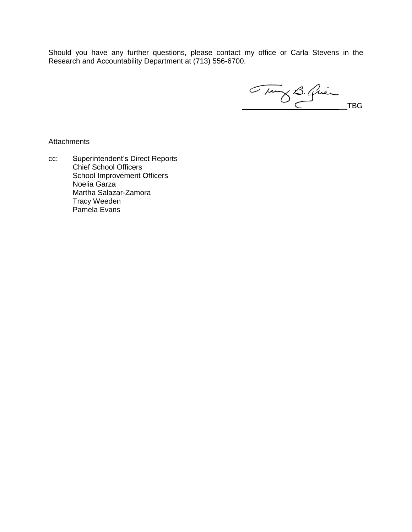Should you have any further questions, please contact my office or Carla Stevens in the Research and Accountability Department at (713) 556-6700.

Tung B. Quince TBG

**Attachments** 

cc: Superintendent's Direct Reports Chief School Officers School Improvement Officers Noelia Garza Martha Salazar-Zamora Tracy Weeden Pamela Evans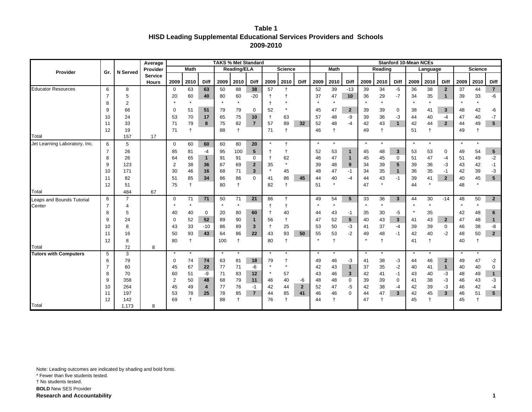**Table 1 HISD Leading Supplemental Educational Services Providers and Schools 2009-2010**

|                               |                |                | Average        |                      |                    |              |               | <b>TAKS % Met Standard</b> |                |                |                    |                      |          |                  |                             |               |                  |                     | <b>Stanford 10-Mean NCEs</b> |                   |                |          |                |                      |
|-------------------------------|----------------|----------------|----------------|----------------------|--------------------|--------------|---------------|----------------------------|----------------|----------------|--------------------|----------------------|----------|------------------|-----------------------------|---------------|------------------|---------------------|------------------------------|-------------------|----------------|----------|----------------|----------------------|
| Provider                      | Gr.            | N Served       | Provider       |                      | <b>Math</b>        |              |               | <b>Reading/ELA</b>         |                |                | <b>Science</b>     |                      |          | <b>Math</b>      |                             |               | Reading          |                     |                              | Language          |                |          | <b>Science</b> |                      |
|                               |                |                | <b>Service</b> |                      |                    |              |               |                            |                |                |                    |                      |          |                  |                             |               |                  |                     |                              |                   |                |          |                |                      |
|                               |                |                | <b>Hours</b>   | 2009                 | 2010               | <b>Diff</b>  | 2009          | 2010                       | <b>Diff</b>    | 2009           | 2010               | <b>Diff</b>          | 2009     | 2010             | Diff                        | 2009          | 2010             | Diff                | 2009                         | 2010              | <b>Diff</b>    | 2009     | 2010           | Diff                 |
| <b>Educator Resources</b>     | 6              | 8              |                | $\Omega$             | 63                 | 63           | 50            | 88                         | 38             | 57             |                    |                      | 52       | 39               | $-13$                       | 39            | 34               | $-5$                | 36                           | 38                | $\mathbf{2}$   | 37       | 44             | $\overline{7}$       |
|                               | $\overline{7}$ | 5              |                | 20                   | 60<br>$\star$      | 40           | 80<br>$\star$ | 60<br>$\star$              | $-20$          |                |                    |                      | 37       | 47<br>$\star$    | 10                          | 36<br>$\star$ | 29<br>$\star$    | $-7$                | 34                           | 35                | $\mathbf{1}$   | 39       | 33             | -6                   |
|                               | 8              | $\overline{2}$ |                |                      |                    |              |               |                            |                |                |                    |                      |          |                  |                             |               |                  |                     |                              | $\star$           |                | $\star$  | $\star$        |                      |
|                               | 9              | 66             |                | 0                    | 51                 | 51           | 79            | 79                         | 0              | 52             |                    |                      | 45       | 47               | $\overline{2}$              | 39            | 39               | 0                   | 38                           | 41                | $\mathbf{3}$   | 48       | 42             | -6                   |
|                               | 10             | 24             |                | 53                   | 70                 | 17           | 65            | 75                         | 10             | $\ddagger$     | 63                 |                      | 57       | 48               | -9                          | 39            | 36               | -3                  | 44                           | 40                | $-4$           | 47       | 40             | $-7$                 |
|                               | 11<br>12       | 33             |                | 71<br>71             | 79<br>$\mathsf{t}$ | 8            | 75<br>88      | 82<br>$\ddagger$           | $\overline{7}$ | 57<br>71       | 89<br>$\ddagger$   | 32                   | 52<br>46 | 48<br>$\ddagger$ | $-4$                        | 42<br>49      | 43<br>$\ddagger$ | $\mathbf{1}$        | 42<br>51                     | 44<br>$\mathbf t$ | $\overline{2}$ | 44<br>49 | 49             | 5                    |
| Total                         |                | 19<br>157      | 17             |                      |                    |              |               |                            |                |                |                    |                      |          |                  |                             |               |                  |                     |                              |                   |                |          | $^\mathrm{+}$  |                      |
| Jet Learning Laboratory, Inc. | 6              | 5              |                | $\mathbf 0$          | 60                 | 60           | 60            | 80                         | 20             | $\star$        | $\ddagger$         |                      | $\star$  | $\star$          |                             | $\star$       | $\star$          |                     | $\star$                      | $\star$           |                | $\star$  | $\star$        |                      |
|                               | $\overline{7}$ | 26             |                | 85                   | 81                 | -4           | 95            | 100                        |                |                |                    |                      |          | 53               | $\mathbf{1}$                |               | 48               | $\mathbf{3}$        | 53                           |                   | 0              |          | 54             | $\sqrt{5}$           |
|                               | 8              | 26             |                | 64                   | 65                 | $\mathbf{1}$ | 91            | 91                         | 5<br>0         | $\ddagger$     | $\mathsf{t}$<br>62 |                      | 52<br>46 | 47               | $\overline{1}$              | 45<br>45      | 45               | $\mathbf 0$         | 51                           | 53<br>47          | $-4$           | 49<br>51 | 49             | $-2$                 |
|                               | 9              | 123            |                | $\overline{2}$       | 38                 | 36           | 67            | 69                         | $\mathbf{2}$   | 35             | $\star$            |                      | 39       | 48               | 9                           | 34            | 39               | 5                   | 39                           | 36                | -3             | 43       | 42             | $-1$                 |
|                               | 10             | 171            |                | 30                   | 46                 | 16           | 68            | 71                         | $\mathbf{3}$   | $\star$        | 45                 |                      | 48       | 47               | $-1$                        | 34            | 35               | $\mathbf{1}$        | 36                           | 35                | $-1$           | 42       | 39             | $-3$                 |
|                               | 11             | 82             |                | 51                   | 85                 | 34           | 86            | 86                         | $\Omega$       | 41             | 86                 | 45                   | 44       | 40               | $-4$                        | 44            | 43               | $-1$                | 39                           | 41                | $\overline{2}$ | 40       | 45             | $5\phantom{.0}$      |
|                               | 12             | 51             |                | 75                   | $\ddagger$         |              | 80            | $\ddagger$                 |                | 82             | $\ddagger$         |                      | 51       | $\star$          |                             | 47            | $\star$          |                     | 44                           | $\star$           |                | 48       | $\star$        |                      |
| Total                         |                | 484            | 67             |                      |                    |              |               |                            |                |                |                    |                      |          |                  |                             |               |                  |                     |                              |                   |                |          |                |                      |
| Leaps and Bounds Tutorial     | 6              | $\overline{7}$ |                | 0                    | 71                 | 71           | 50            | 71                         | 21             | 86             | $\ddagger$         |                      | 49       | 54               | 5                           | 33            | 36               | $\mathbf{3}$        | 44                           | 30                | $-14$          | 48       | 50             | $\overline{2}$       |
| Center                        | $\overline{7}$ | 4              |                | $\star$              | $\star$            |              | $\star$       | $\star$                    |                |                | $\mathsf{t}$       |                      | $\star$  | $\star$          |                             | $\star$       | $^\star$         |                     |                              | $\star$           |                | $\star$  | $\star$        |                      |
|                               | 8              | 5              |                | 40                   | 40                 | 0            | 20            | 80                         | 60             |                | 40                 |                      | 44       | 43               | -1                          | 35            | 30               | -5                  |                              | 35                |                | 42       | 48             | 6                    |
|                               | 9              | 24             |                | 0                    | 52                 | 52           | 89            | 90                         | $\mathbf{1}$   | 56             | $\mathsf{t}$       |                      | 47       | 52               | $\sqrt{5}$                  | 40            | 43               | $\mathbf{3}$        | 41                           | 43                | $\overline{2}$ | 47       | 48             | $\mathbf{1}$         |
|                               | 10             | 8              |                | 43                   | 33                 | $-10$        | 86            | 89                         | $\mathbf{3}$   |                | 25                 |                      | 53       | 50               | $-3$                        | 41            | 37               | $-4$                | 39                           | 39                | 0              | 46       | 38             | -8                   |
|                               | 11             | 16             |                | 50                   | 93                 | 43           | 64            | 86                         | 22             | 43             | 93                 | 50                   | 55       | 53               | $-2$                        | 49            | 48               | $-1$                | 42                           | 40                | $-2$           | 48       | 50             | $\mathbf{2}$         |
|                               | 12             | 8              |                | 80                   | $\ddagger$         |              | 100           | $\ddagger$                 |                | 80             | $\ddagger$         |                      | $\star$  | $\ddagger$       |                             | $\star$       | $\ddagger$       |                     | 41                           | $\ddagger$        |                | 40       | t              |                      |
| Total                         |                | 72             | 8              |                      |                    |              |               |                            |                |                |                    |                      |          |                  |                             |               |                  |                     |                              |                   |                |          |                |                      |
| <b>Tutors with Computers</b>  | 5              | 3              |                | $\star$              | $\star$            |              | $\star$       | $\star$                    |                | $\star$        |                    |                      | $\star$  | $\star$          |                             | $\star$       | $\star$          |                     | $\star$                      | $\star$           |                | $\star$  | $\star$        |                      |
|                               | 6              | 79             |                | 0                    | 74                 | 74           | 63            | 81                         | 18             | 79<br>$^\star$ | $\star$            |                      | 49       | 46               | $-3$                        | 41            | 38               | $-3$                | 44                           | 46                | $\overline{2}$ | 49       | 47             | $-2$                 |
|                               | $\overline{7}$ | 60             |                | 45                   | 67                 | 22           | 77            | 71                         | -6             | $^{\ast}$      |                    |                      | 42       | 43               | $\overline{1}$              | 37            | 35               | $-2$                | 40                           | 41                | $\mathbf{1}$   | 40       | 40             | 0                    |
|                               | 8<br>9         | 70<br>358      |                | 60<br>$\overline{2}$ | 51<br>50           | -9           | 71            | 83<br>79                   | 12<br>11       | 46             | 57<br>40           |                      | 43       | 46<br>48         | $\mathbf{3}$<br>$\mathbf 0$ | 42<br>39      | 41<br>39         | $-1$<br>$\mathbf 0$ | 43                           | 40<br>38          | -3<br>-3       | 48       | 49<br>43       | $\mathbf{1}$<br>$-3$ |
|                               | 10             | 264            |                | 45                   | 49                 | 48<br>4      | 68<br>77      | 76                         | $-1$           | 42             | 44                 | -6<br>$\overline{2}$ | 48<br>52 | 47               | -5                          | 42            | 38               | $-4$                | 41<br>42                     | 39                | -3             | 46<br>46 | 42             | $-4$                 |
|                               | 11             | 197            |                | 53                   | 78                 | 25           | 78            | 85                         | $\overline{7}$ | 44             | 85                 | 41                   | 46       | 46               | $\Omega$                    | 44            | 47               | $\mathbf{3}$        | 42                           | 45                | $\overline{3}$ | 46       | 51             | $5\phantom{.0}$      |
|                               | 12             | 142            |                | 69                   |                    |              | 88            | $\ddot{}$                  |                | 76             |                    |                      | 44       | $\ddagger$       |                             | 47            | $\ddagger$       |                     | 45                           |                   |                | 45       | t              |                      |
| Total                         |                | 1,173          | 8              |                      |                    |              |               |                            |                |                |                    |                      |          |                  |                             |               |                  |                     |                              |                   |                |          |                |                      |

**Research and Accountability 1**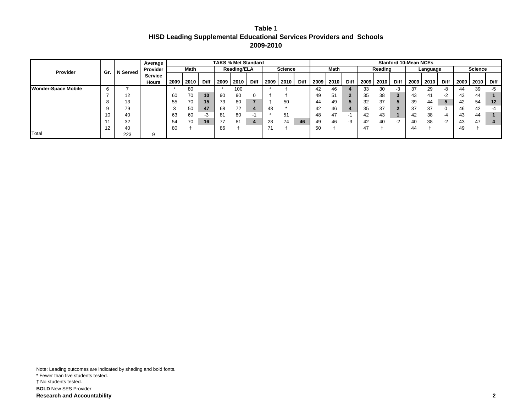| Table 1                                                               |  |
|-----------------------------------------------------------------------|--|
| HISD Leading Supplemental Educational Services Providers and  Schools |  |
| 2009-2010                                                             |  |

|                            |            |          | Average        |      |      |             |      | <b>TAKS % Met Standard</b> |             |      |                |             |      |      |      |      |         |             | <b>Stanford 10-Mean NCEs</b> |          |             |      |                |             |
|----------------------------|------------|----------|----------------|------|------|-------------|------|----------------------------|-------------|------|----------------|-------------|------|------|------|------|---------|-------------|------------------------------|----------|-------------|------|----------------|-------------|
| <b>Provider</b>            | Gr.        | N Served | Provider       |      | Math |             |      | <b>Reading/ELA</b>         |             |      | <b>Science</b> |             |      | Math |      |      | Reading |             |                              | Language |             |      | <b>Science</b> |             |
|                            |            |          | <b>Service</b> |      |      |             |      |                            |             |      |                |             |      |      |      |      |         |             |                              |          |             |      |                |             |
|                            |            |          | Hours          | 2009 | 2010 | <b>Diff</b> | 2009 | 2010                       | <b>Diff</b> | 2009 | 2010           | <b>Diff</b> | 2009 | 2010 | Diff | 2009 | 2010    | <b>Diff</b> | 2009                         | 2010     | <b>Diff</b> | 2009 | 2010           | <b>Diff</b> |
| <b>Wonder-Space Mobile</b> | $\sqrt{2}$ |          |                |      | 80   |             |      | 100                        |             |      |                |             | 42   | 46   |      | 33   | 30      | -3          | 37                           | 29       | -8          | 44   | 39             | $-5$        |
|                            |            | 12       |                | 60   | 70   | 10          | 90   | 90                         |             |      |                |             | 49   | 51   |      | 35   | 38      | 3           | 43                           | 41       | $-2$        | 43   | 44             |             |
|                            |            | 13       |                | 55   | 70   | 15          | 73   | 80                         |             |      | 50             |             | 44   | 49   |      | 32   | 37      | 5           | 39                           | 44       | 5           | 42   | 54             | 12          |
|                            |            | 79       |                |      | 50   | 47          | 68   | 72                         |             | 48   |                |             | 42   | 46   |      | 35   | 37      | £.          |                              | 37       | 0           | 46   | 42             | -4          |
|                            | 10         | 40       |                | 63   | 60   | -3          | 81   | 80                         | ÷           |      | 51             |             | 48   | 47   |      | 42   | 43      |             | 42                           | 38       | -4          | 43   | 44             |             |
|                            |            | 32       |                | -54  | 70   | 16          |      | 81                         |             | 28   | 74             | 46          | 49   | 46   | -3   | 42   | 40      | $-2$        | 40                           | 38       | $-2$        | 43   | 47             |             |
|                            | 12         | 40       |                | 80   |      |             | 86   |                            |             | 71   |                |             | 50   |      |      | 47   |         |             | 44                           |          |             | 49   |                |             |
| Total                      |            | 223      |                |      |      |             |      |                            |             |      |                |             |      |      |      |      |         |             |                              |          |             |      |                |             |

Note: Leading outcomes are indicated by shading and bold fonts. \* Fewer than five students tested. † No students tested. **BOLD** New SES Provider **Research and Accountability 2**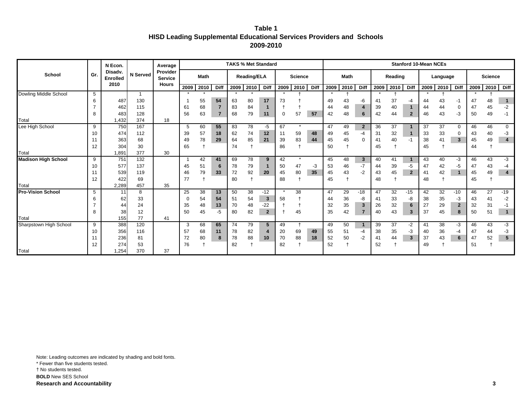| Table 1                                                               |  |
|-----------------------------------------------------------------------|--|
| HISD Leading Supplemental Educational Services Providers and  Schools |  |
| 2009-2010                                                             |  |

|                            |    | N Econ.                            |             | Average                    |         |             |                |      | <b>TAKS % Met Standard</b> |                |             |                |      |      |                |                |      |         |                         | <b>Stanford 10-Mean NCEs</b> |          |              |      |                |                         |
|----------------------------|----|------------------------------------|-------------|----------------------------|---------|-------------|----------------|------|----------------------------|----------------|-------------|----------------|------|------|----------------|----------------|------|---------|-------------------------|------------------------------|----------|--------------|------|----------------|-------------------------|
| School                     | Gr | Disady.<br><b>Enrolled</b><br>2010 | N Served    | Provider<br><b>Service</b> |         | <b>Math</b> |                |      | <b>Reading/ELA</b>         |                |             | <b>Science</b> |      |      | <b>Math</b>    |                |      | Reading |                         |                              | Language |              |      | <b>Science</b> |                         |
|                            |    |                                    |             | <b>Hours</b>               | 2009    | 2010        | Diff           | 2009 | 2010                       | <b>Diff</b>    | 2009        | 2010           | Diff | 2009 | 2010           | <b>Diff</b>    | 2009 | 2010    | Diff                    | 2009                         | 2010     | <b>Diff</b>  | 2009 | 2010           | Diff                    |
| Dowling Middle School      | 5  |                                    | $\mathbf 1$ |                            | $\star$ | $\star$     |                |      |                            |                |             |                |      |      |                |                |      |         |                         |                              |          |              |      |                |                         |
|                            | 6  | 487                                | 130         |                            |         | 55          | 54             | 63   | 80                         | 17             | 73          |                |      | 49   | 43             | -6             | 41   | 37      | -4                      | 44                           | 43       | -1           | 47   | 48             | $\overline{1}$          |
|                            |    | 462                                | 115         |                            | 61      | 68          | $\overline{7}$ | 83   | 84                         |                |             |                |      | 44   | 48             | 4              | 39   | 40      | $\mathbf{1}$            | 44                           | 44       | 0            | 47   | 45             | $-2$                    |
|                            | 8  | 483                                | 128         |                            | 56      | 63          | $\overline{7}$ | 68   | 79                         | 11             | $\mathbf 0$ | 57             | 57   | 42   | 48             | 6              | 42   | 44      | $\mathbf{2}$            | 46                           | 43       | $-3$         | 50   | 49             | $-1$                    |
| Total                      |    | 1,432                              | 374         | 18                         |         |             |                |      |                            |                |             |                |      |      |                |                |      |         |                         |                              |          |              |      |                |                         |
| Lee High School            | 9  | 750                                | 167         |                            | 5       | 60          | 55             | 83   | 78                         | $-5$           | 67          | $\star$        |      | 47   | 49             | $\overline{2}$ | 36   | 37      |                         | 37                           | 37       | $\mathbf 0$  | 46   | 46             | $\mathbf 0$             |
|                            | 10 | 474                                | 112         |                            | 39      | 57          | 18             | 62   | 74                         | 12             | 11          | 59             | 48   | 49   | 45             | -4             | 31   | 32      | $\overline{1}$          | 33                           | 33       |              | 43   | 40             | $-3$                    |
|                            | 11 | 363                                | 68          |                            | 49      | 78          | 29             | 64   | 85                         | 21             | 39          | 83             | 44   | 45   | 45             | $\mathbf 0$    | 41   | 40      | $-1$                    | 38                           | 41       | $\mathbf{3}$ | 45   | 49             | $\overline{\mathbf{4}}$ |
|                            | 12 | 304                                | 30          |                            | 65      |             |                | 74   |                            |                | 86          | $\overline{1}$ |      | 50   | $\overline{1}$ |                | 45   |         |                         | 45                           |          |              | 44   |                |                         |
| Total                      |    | 1,891                              | 377         | 30                         |         |             |                |      |                            |                |             |                |      |      |                |                |      |         |                         |                              |          |              |      |                |                         |
| <b>Madison High School</b> | 9  | 751                                | 132         |                            |         | 42          | 41             | 69   | 78                         | 9              | 42          | $\star$        |      | 45   | 48             | $\mathbf{3}$   | 40   | 41      | $\mathbf{1}$            | 43                           | 40       | $-3$         | 46   | 43             | $-3$                    |
|                            | 10 | 577                                | 137         |                            | 45      | 51          | 6              | 78   | 79                         |                | 50          | 47             | -3   | 53   | 46             | $-7$           | 44   | 39      | $-5$                    | 47                           | 42       | $-5$         | 47   | 43             | $-4$                    |
|                            | 11 | 539                                | 119         |                            | 46      | 79          | 33             | 72   | 92                         | 20             | 45          | 80             | 35   | 45   | 43             | $-2$           | 43   | 45      | $\overline{2}$          | 41                           | 42       | $\mathbf{1}$ | 45   | 49             | $\overline{\mathbf{4}}$ |
|                            | 12 | 422                                | 69          |                            | 77      |             |                | 80   |                            |                | 88          | $\ddot{}$      |      | 45   |                |                | 48   |         |                         | 48                           |          |              | 45   |                |                         |
| Total                      |    | 2,289                              | 457         | 35                         |         |             |                |      |                            |                |             |                |      |      |                |                |      |         |                         |                              |          |              |      |                |                         |
| <b>Pro-Vision School</b>   | 5  | 11                                 | 8           |                            | 25      | 38          | 13             | 50   | 38                         | $-12$          |             | 38             |      | 47   | 29             | $-18$          | 47   | 32      | $-15$                   | 42                           | 32       | $-10$        | 46   | 27             | $-19$                   |
|                            | 6  | 62                                 | 33          |                            | -0      | 54          | 54             | 51   | 54                         | $\mathbf{3}$   | 58          |                |      | 44   | 36             | -8             | 41   | 33      | -8                      | 38                           | 35       | -3           | 43   | 41             | $-2$                    |
|                            |    | 44                                 | 24          |                            | 35      | 48          | 13             | 70   | 48                         | $-22$          |             |                |      | 32   | 35             | 3              | 26   | 32      | 6                       | 27                           | 29       | $\mathbf{2}$ | 32   | 31             | $-1$                    |
|                            | 8  | 38                                 | 12          |                            | 50      | 45          | $-5$           | 80   | 82                         | $\overline{2}$ |             | 45             |      | 35   | 42             | $\overline{7}$ | 40   | 43      | $\overline{\mathbf{3}}$ | 37                           | 45       | 8            | 50   | 51             | $\mathbf{1}$            |
| Total                      |    | 155                                | 77          | 41                         |         |             |                |      |                            |                |             |                |      |      |                |                |      |         |                         |                              |          |              |      |                |                         |
| Sharpstown High School     | 9  | 388                                | 120         |                            | 3       | 68          | 65             | 74   | 79                         | 5              | 49          | $\ddagger$     |      | 49   | 50             | 1              | 39   | 37      | $-2$                    | 41                           | 38       | $-3$         | 46   | 43             | $-3$                    |
|                            | 10 | 356                                | 116         |                            | 57      | 68          | 11             | 78   | 82                         | $\overline{4}$ | 20          | 69             | 49   | 55   | 51             | $-4$           | 38   | 35      | $-3$                    | 40                           | 36       | -4           | 47   | 44             | $-3$                    |
|                            | 11 | 236                                | 81          |                            | 72      | 80          | 8              | 78   | 88                         | 10             | 70          | 88             | 18   | 52   | 50             | $-2$           | 41   | 44      | $\mathbf{3}$            | 37                           | 43       | 6            | 47   | 52             | ${\bf 5}$               |
|                            | 12 | 274                                | 53          |                            | 76      |             |                | 82   |                            |                | 82          |                |      | 52   |                |                | 52   |         |                         | 49                           |          |              | 51   |                |                         |
| Total                      |    | 1,254                              | 370         | 37                         |         |             |                |      |                            |                |             |                |      |      |                |                |      |         |                         |                              |          |              |      |                |                         |

Note: Leading outcomes are indicated by shading and bold fonts. \* Fewer than five students tested.

† No students tested.

**BOLD** New SES School

**Research and Accountability** 3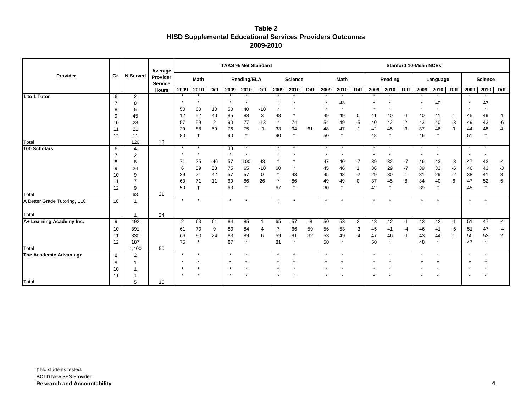| Table 2                                                          |
|------------------------------------------------------------------|
| <b>HISD Supplemental Educational Services Providers Outcomes</b> |
| 2009-2010                                                        |

|                              |                |                 | Average                    |          |             |                |               | <b>TAKS % Met Standard</b> |                         |                |                |             |            |             |                     |              |                  |                         | <b>Stanford 10-Mean NCEs</b> |                  |           |                      |                |                |
|------------------------------|----------------|-----------------|----------------------------|----------|-------------|----------------|---------------|----------------------------|-------------------------|----------------|----------------|-------------|------------|-------------|---------------------|--------------|------------------|-------------------------|------------------------------|------------------|-----------|----------------------|----------------|----------------|
| Provider                     | Gr.            | <b>N</b> Served | Provider<br><b>Service</b> |          | <b>Math</b> |                |               | <b>Reading/ELA</b>         |                         |                | <b>Science</b> |             |            | <b>Math</b> |                     |              | Reading          |                         |                              | Language         |           |                      | <b>Science</b> |                |
|                              |                |                 | <b>Hours</b>               | 2009     | 2010        | <b>Diff</b>    |               | 2009 2010                  | <b>Diff</b>             | 2009           | 2010           | <b>Diff</b> | 2009       | 2010        | <b>Diff</b>         | 2009         | 2010             | <b>Diff</b>             | 2009                         | 2010 Diff        |           | 2009                 | 2010           | <b>Diff</b>    |
| 1 to 1 Tutor                 | 6              | 2               |                            |          |             |                |               |                            |                         |                |                |             | $\star$    |             |                     |              |                  |                         |                              |                  |           |                      |                |                |
|                              | $\overline{7}$ | 8               |                            | $\star$  | $\star$     |                |               |                            |                         |                |                |             | $\star$    | 43          |                     |              |                  |                         |                              | 40               |           | $\star$              | 43             |                |
|                              | 8              | 5               |                            | 50       | 60          | 10             | 50            | 40                         | $-10$                   |                |                |             | $\star$    | $\star$     |                     |              |                  |                         |                              | $\star$          |           | $\star$              |                |                |
|                              | 9              | 45              |                            | 12       | 52          | 40             | 85            | 88                         | 3                       | 48             | $\star$        |             | 49         | 49          | 0                   | 41           | 40               | $-1$                    | 40                           | 41               | -1        | 45                   | 49             | 4              |
|                              | 10             | 28              |                            | 57       | 59          | $\overline{2}$ | 90            | $77\,$                     | $-13$                   | $\star$        | 74             |             | 54         | 49          | $-5$                | 40           | 42               | $\overline{\mathbf{c}}$ | 43                           | 40               | $-3$      | 49                   | 43             | -6             |
|                              | 11             | 21              |                            | 29       | 88          | 59             | 76            | 75                         | $-1$                    | 33             | 94             | 61          | 48         | 47          | $-1$                | 42           | 45               | $\overline{3}$          | 37                           | 46               | 9         | 44                   | 48             | $\overline{4}$ |
|                              | 12             | 11              |                            | 80       |             |                | 90            | $\ddagger$                 |                         | 90             | $\ddagger$     |             | 50         |             |                     | 48           | $\ddagger$       |                         | 46                           | $\ddagger$       |           | 51                   |                |                |
| Total                        |                | 120             | 19                         | $\star$  | $\star$     |                |               |                            |                         |                |                |             | $\star$    |             |                     | $\star$      | $\star$          |                         | $\star$                      |                  |           | $\star$              |                |                |
| 100 Scholars                 | 6              | $\overline{4}$  |                            | $\star$  | $\star$     |                | 33<br>$\star$ | $\star$<br>$\star$         |                         |                |                |             | $\star$    | $\star$     |                     | $\star$      | $\star$          |                         |                              | $\star$          |           | $\star$              | $\star$        |                |
|                              | $\overline{7}$ | 2               |                            |          |             |                |               |                            |                         |                |                |             |            |             |                     |              |                  |                         |                              |                  |           |                      |                |                |
|                              | 8              | 8               |                            | 71       | 25          | $-46$          | 57            | 100                        | 43                      |                | $\star$        |             | 47         | 40          | $-7$                | 39           | 32               | $-7$                    | 46                           | 43               | -3        | 47                   | 43             | $-4$           |
|                              | 9              | 24              |                            | 6        | 59          | 53             | 75            | 65                         | $-10$                   | 60             |                |             | 45         | 46          | $\mathbf{1}$        | 36           | 29               | $-7$                    | 39                           | 33               | -6        | 46                   | 43             | $-3$           |
|                              | 10             | 9<br>7          |                            | 29<br>60 | 71<br>71    | 42<br>11       | 57            | 57                         | $\mathbf 0$             | $\star$        | 43<br>86       |             | 45         | 43<br>49    | $-2$<br>$\mathbf 0$ | 29           | 30               | $\mathbf{1}$            | 31                           | 29               | $-2$<br>6 | 38<br>47             | 41<br>52       | 3<br>5         |
|                              | 11<br>12       | 9               |                            | 50       |             |                | 60<br>63      | 86<br>$\ddagger$           | 26                      | 67             | $\ddagger$     |             | 49<br>30   |             |                     | 37<br>42     | 45<br>$\ddagger$ | 8                       | 34<br>39                     | 40<br>$\ddagger$ |           | 45                   |                |                |
| Total                        |                | 63              | 21                         |          |             |                |               |                            |                         |                |                |             |            |             |                     |              |                  |                         |                              |                  |           |                      |                |                |
| A Better Grade Tutoring, LLC | 10             | 1               |                            | $\star$  | $\star$     |                | $\star$       | $\star$                    |                         | $\overline{1}$ | $\star$        |             | $\ddagger$ |             |                     | $\mathbf{f}$ | $\ddagger$       |                         | $\ddagger$                   | $\ddagger$       |           | $\ddot{\phantom{1}}$ |                |                |
|                              |                |                 |                            |          |             |                |               |                            |                         |                |                |             |            |             |                     |              |                  |                         |                              |                  |           |                      |                |                |
| Total                        |                | $\overline{1}$  | 24                         |          |             |                |               |                            |                         |                |                |             |            |             |                     |              |                  |                         |                              |                  |           |                      |                |                |
| A+ Learning Academy Inc.     | $\overline{9}$ | 492             |                            | 2        | 63          | 61             | 84            | 85                         | $\overline{\mathbf{1}}$ | 65             | 57             | -8          | 50         | 53          | 3                   | 43           | 42               | $-1$                    | 43                           | 42               | $-1$      | 51                   | 47             | $-4$           |
|                              | 10             | 391             |                            | 61       | 70          | 9              | 80            | 84                         | 4                       | 7              | 66             | 59          | 56         | 53          | $-3$                | 45           | 41               | $-4$                    | 46                           | 41               | $-5$      | 51                   | 47             | $-4$           |
|                              | 11             | 330             |                            | 66       | 90          | 24             | 83            | 89                         | 6                       | 59             | 91             | 32          | 53         | 49          | $-4$                | 47           | 46               | $-1$                    | 43                           | 44               | 1         | 50                   | 52             | $\overline{2}$ |
|                              | 12             | 187             |                            | 75       |             |                | 87            | $\star$                    |                         | 81             | $\star$        |             | 50         | $\star$     |                     | 50           | $\star$          |                         | 48                           | $\star$          |           | 47                   |                |                |
| Total                        |                | 1,400           | 50                         |          |             |                |               |                            |                         |                |                |             |            |             |                     |              |                  |                         |                              |                  |           |                      |                |                |
| The Academic Advantage       | 8              | 2               |                            | $\star$  | $\star$     |                | $\star$       | $\star$                    |                         |                | $\ddot{}$      |             | $\star$    | $\star$     |                     | $\star$      | $\star$          |                         | $\star$                      | $\star$          |           | $\star$              |                |                |
|                              | 9              |                 |                            |          |             |                | $\star$       |                            |                         |                |                |             | $\star$    |             |                     |              |                  |                         |                              | $\star$          |           | $\star$              |                |                |
|                              | 10             |                 |                            |          |             |                | $\star$       |                            |                         |                | $\star$        |             | $\star$    |             |                     | $\star$      | $\star$          |                         |                              | $\star$          |           | $\star$              |                |                |
|                              | 11             |                 |                            |          |             |                | $\star$       |                            |                         |                |                |             | $\star$    |             |                     |              |                  |                         |                              | $\star$          |           |                      |                |                |
| Total                        |                | 5               | 16                         |          |             |                |               |                            |                         |                |                |             |            |             |                     |              |                  |                         |                              |                  |           |                      |                |                |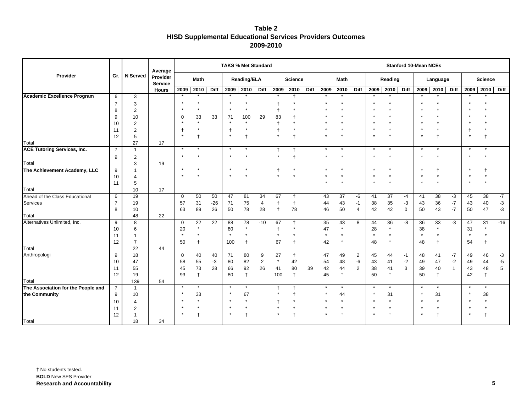| Table 2                                                          |
|------------------------------------------------------------------|
| <b>HISD Supplemental Educational Services Providers Outcomes</b> |
| 2009-2010                                                        |

|                                    |                |                                  | Average                    |                   |            |                 | <b>TAKS % Met Standard</b> |                    |                |                         |                          |      |                   |                      |                |                |                         |             | <b>Stanford 10-Mean NCEs</b> |               |              |              |                |                |
|------------------------------------|----------------|----------------------------------|----------------------------|-------------------|------------|-----------------|----------------------------|--------------------|----------------|-------------------------|--------------------------|------|-------------------|----------------------|----------------|----------------|-------------------------|-------------|------------------------------|---------------|--------------|--------------|----------------|----------------|
| Provider                           | Gr.            | N Served                         | Provider<br><b>Service</b> |                   | Math       |                 |                            | <b>Reading/ELA</b> |                |                         | <b>Science</b>           |      |                   | Math                 |                |                | Reading                 |             |                              | Language      |              |              | <b>Science</b> |                |
|                                    |                |                                  | <b>Hours</b>               | 2009              | 2010       | <b>Diff</b>     | 2009                       | 2010               | Diff           | 2009                    | 2010                     | Diff | 2009              | 2010                 | <b>Diff</b>    | 2009           | 2010                    | Diff        | 2009                         | 2010          | Diff         | 2009         | 2010           | <b>Diff</b>    |
| <b>Academic Excellence Program</b> | 6              | 3                                |                            |                   |            |                 |                            |                    |                |                         | $\ddot{}$                |      | $\star$           |                      |                |                |                         |             |                              |               |              | $\star$      |                |                |
|                                    | $\overline{7}$ | 3                                |                            | $\star$           | $\star$    |                 |                            |                    |                |                         |                          |      | $\star$           |                      |                |                |                         |             |                              |               |              | $\star$      |                |                |
|                                    | 8              | $\overline{2}$                   |                            |                   | $\star$    |                 |                            | $\star$            |                | $\ddagger$              |                          |      |                   |                      |                |                |                         |             |                              |               |              |              |                |                |
|                                    | 9              | 10                               |                            | 0                 | 33         | 33              | 71                         | 100                | 29             | 83                      | t                        |      |                   |                      |                |                |                         |             |                              |               |              |              |                |                |
|                                    | 10             | $\overline{2}$                   |                            |                   | $\star$    |                 |                            | $\star$            |                |                         | $\star$                  |      | $\star$           |                      |                |                |                         |             |                              |               |              |              |                |                |
|                                    | 11             | $\overline{c}$                   |                            |                   | $\star$    |                 |                            |                    |                | $\ddagger$              | $\star$                  |      | $\ddagger$        | $\star$              |                | $\overline{1}$ |                         |             | $\mathsf{t}$                 | $\star$       |              | $\ddagger$   |                |                |
|                                    | 12             | 5                                |                            | $\star$           |            |                 | $\star$                    |                    |                | $\star$                 | $\ddagger$               |      | $\star$           |                      |                | $\star$        |                         |             | $\star$                      | $\ddagger$    |              | $\star$      |                |                |
| Total                              |                | 27                               | 17                         |                   |            |                 |                            |                    |                |                         |                          |      |                   |                      |                |                |                         |             |                              |               |              |              |                |                |
| <b>ACE Tutoring Services, Inc.</b> | $\overline{7}$ | $\overline{1}$                   |                            | $\star$           |            |                 |                            |                    |                | $\ddagger$              | $\mathsf{t}$             |      | $\star$           |                      |                |                |                         |             |                              |               |              | $\star$      |                |                |
|                                    | 9              | 2                                |                            | $\star$           | $\star$    |                 |                            |                    |                | $\star$                 | $\ddagger$               |      | $\star$           | $\star$              |                | $\star$        | $\star$                 |             | $\star$                      |               |              | $\star$      | $\star$        |                |
| Total                              |                | 3                                | 19                         |                   |            |                 |                            |                    |                |                         |                          |      |                   |                      |                |                |                         |             |                              |               |              |              |                |                |
| The Achievement Academy, LLC       | 9              | $\overline{1}$                   |                            | $\ast$<br>$\star$ | $\star$    |                 | $\star$                    | $\star$            |                | $\ddagger$<br>$\star$   |                          |      | $\ast$<br>$\star$ | $\star$              |                |                | $^{\dagger}$<br>$\star$ |             | $\star$                      | $\ddagger$    |              | ×<br>$\star$ | $\star$        |                |
|                                    | 10             | $\overline{4}$                   |                            |                   |            |                 |                            |                    |                |                         |                          |      |                   |                      |                |                |                         |             |                              |               |              |              |                |                |
| Total                              | 11             | 5<br>10                          | 17                         |                   |            |                 |                            |                    |                |                         |                          |      |                   |                      |                |                |                         |             |                              |               |              |              |                |                |
| Ahead of the Class Educational     | 6              | 19                               |                            | $\mathbf 0$       | 50         | 50              | 47                         | 81                 | 34             | 67                      | $\ddagger$               |      | 43                | 37                   | -6             | 41             | 37                      | $-4$        | 41                           | 38            | $-3$         | 45           | 38             | $-7$           |
| Services                           | $\overline{7}$ | 19                               |                            | 57                | 31         | $-26$           | 71                         | 75                 | $\overline{4}$ | $\ddagger$              | $\ddagger$               |      | 44                | 43                   | $-1$           | 38             | 35                      | $-3$        | 43                           | $36\,$        | $-7$         | 43           | $40\,$         | $-3$           |
|                                    | 8              | 10                               |                            | 63                | 89         | 26              | 50                         | 78                 | 28             | $\ddagger$              | 78                       |      | 46                | 50                   | $\overline{4}$ | 42             | 42                      | $\mathbf 0$ | 50                           | 43            | $-7$         | 50           | 47             | $-3$           |
| Total                              |                | 48                               | 22                         |                   |            |                 |                            |                    |                |                         |                          |      |                   |                      |                |                |                         |             |                              |               |              |              |                |                |
| Alternatives Unlimited, Inc.       | 9              | 8                                |                            | $\mathbf 0$       | 22         | $\overline{22}$ | 88                         | 78                 | $-10$          | 67                      | $\ddagger$               |      | 35                | 43                   | 8              | 44             | 36                      | -8          | 36                           | 33            | $-3$         | 47           | 31             | $-16$          |
|                                    | 10             | 6                                |                            | 20                | $\star$    |                 | 80                         | $\star$            |                | $\ddagger$              | $\star$                  |      | 47                | $\star$              |                | 28             | $\star$                 |             | 38                           | $\star$       |              | 31           | $\star$        |                |
|                                    | 11             | $\overline{1}$                   |                            | $^\star$          | $\star$    |                 | $\star$                    | $\star$            |                | $\star$                 | $\star$                  |      | $\pmb{\ast}$      | $^\star$             |                | $\star$        | $\star$                 |             | $\star$                      | $\star$       |              | $\star$      | $\star$        |                |
|                                    | 12             | $\overline{7}$                   |                            | 50                | $\ddagger$ |                 | 100                        | $\mathsf{t}$       |                | 67                      | $\mathsf{t}$             |      | 42                | $\ddagger$           |                | 48             | $\ddagger$              |             | 48                           | $\ddagger$    |              | 54           | $\mathsf{t}$   |                |
| Total                              |                | 22                               | 44                         |                   |            |                 |                            |                    |                |                         |                          |      |                   |                      |                |                |                         |             |                              |               |              |              |                |                |
| Anthropologi                       | 9              | 18                               |                            | $\mathbf 0$       | 40         | 40              | 71                         | 80                 | 9              | 27                      | $\ddagger$               |      | 47                | 49                   | $\overline{2}$ | 45             | 44                      | $-1$        | 48                           | 41            | $-7$         | 49           | 46             | $-3$           |
|                                    | 10             | 47                               |                            | 58                | 55         | $-3$            | 80                         | 82                 | $\overline{2}$ | $\star$                 | 42                       |      | 54                | 48                   | -6             | 43             | 41                      | $-2$        | 49                           | 47            | $-2$         | 49           | 44             | $-5$           |
|                                    | 11             | 55                               |                            | 45                | 73         | 28              | 66                         | 92                 | 26             | 41                      | 80                       | 39   | 42                | 44                   | $\overline{2}$ | 38             | 41                      | 3           | 39                           | 40            | $\mathbf{1}$ | 43           | 48             | $\overline{5}$ |
|                                    | 12             | 19                               |                            | 93                | $\ddagger$ |                 | 80                         | $\ddagger$         |                | 100                     | $\ddagger$               |      | 45                | $\ddot{\phantom{1}}$ |                | 50             | $\ddagger$              |             | 50                           | $\ddagger$    |              | 42           | $\overline{1}$ |                |
| Total                              |                | 139                              | 54                         | $\star$           | $\star$    |                 |                            | $\star$            |                |                         |                          |      | $\star$           | $\star$              |                |                | $\star$                 |             |                              | $\star$       |              | $\star$      |                |                |
| The Association for the People and | $\overline{7}$ | $\overline{1}$                   |                            | $\star$           |            |                 | $\star$                    |                    |                | $^{\dagger}$<br>$\star$ | $\ddagger$<br>$\ddagger$ |      | $\star$           |                      |                | $\star$        |                         |             | $\star$                      |               |              | $\star$      |                |                |
| the Community                      | 9              | 10                               |                            |                   | 33         |                 |                            | 67<br>$\star$      |                |                         | $\star$                  |      | $\star$           | 44<br>$\star$        |                | $\star$        | 31<br>$\star$           |             |                              | 31<br>$\star$ |              | $\star$      | 38             |                |
|                                    | 10             | 4                                |                            |                   | $\star$    |                 |                            |                    |                | $\star$                 |                          |      | $\star$           | $\star$              |                |                | $\star$                 |             | $\star$                      | $\star$       |              |              |                |                |
|                                    | 11<br>12       | $\overline{2}$<br>$\overline{1}$ |                            |                   |            |                 |                            |                    |                | $\star$                 |                          |      | $\star$           |                      |                |                |                         |             |                              | $\ddagger$    |              | $\star$      |                |                |
| Total                              |                | 18                               | 34                         |                   |            |                 |                            |                    |                |                         |                          |      |                   |                      |                |                |                         |             |                              |               |              |              |                |                |
|                                    |                |                                  |                            |                   |            |                 |                            |                    |                |                         |                          |      |                   |                      |                |                |                         |             |                              |               |              |              |                |                |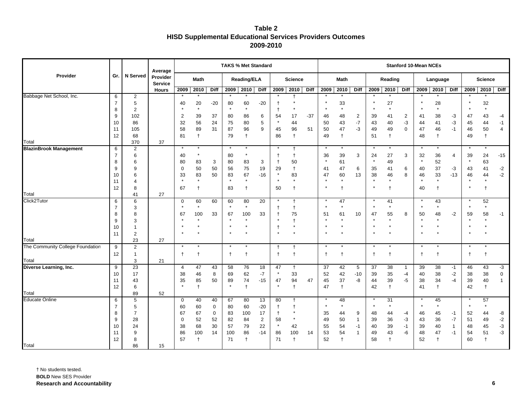| Table 2                                                          |
|------------------------------------------------------------------|
| <b>HISD Supplemental Educational Services Providers Outcomes</b> |
| 2009-2010                                                        |

|                                  |                |                       | Average                    |                |            |             |               | <b>TAKS % Met Standard</b> |                  |              |                |             |            |              |               |             |                  |                         | <b>Stanford 10-Mean NCEs</b> |            |                   |            |                |                   |
|----------------------------------|----------------|-----------------------|----------------------------|----------------|------------|-------------|---------------|----------------------------|------------------|--------------|----------------|-------------|------------|--------------|---------------|-------------|------------------|-------------------------|------------------------------|------------|-------------------|------------|----------------|-------------------|
| Provider                         | Gr.            | N Served              | Provider<br><b>Service</b> |                | Math       |             |               | Reading/ELA                |                  |              | <b>Science</b> |             |            | <b>Math</b>  |               |             | Reading          |                         |                              | Language   |                   |            | <b>Science</b> |                   |
|                                  |                |                       | <b>Hours</b>               | 2009           | 2010       | Diff        |               | 2009 2010                  | <b>Diff</b>      | 2009         | 2010           | <b>Diff</b> | 2009       | 2010         | Diff          | 2009        | 2010             | Diff                    | 2009                         | 2010       | <b>Diff</b>       | 2009       | 2010           | Diff              |
| Babbage Net School, Inc.         | 6              | $\overline{2}$        |                            |                |            |             |               |                            |                  |              |                |             |            |              |               |             |                  |                         |                              |            |                   |            |                |                   |
|                                  | $\overline{7}$ | 5                     |                            | 40             | 20         | $-20$       | 80            | 60                         | $-20$            | Ť            |                |             |            | 33           |               |             | 27               |                         |                              | 28         |                   |            | 32             |                   |
|                                  | 8              | $\overline{2}$        |                            |                | $\star$    |             | $\star$       | $\star$                    |                  | $\mathsf{t}$ |                |             |            | $\star$      |               |             | $\star$          |                         |                              | $\star$    |                   |            | $^\star$       |                   |
|                                  | 9              | 102                   |                            | $\overline{2}$ | 39         | 37          | 80            | 86                         | 6                | 54           | 17             | $-37$       | 46         | 48           | 2             | 39          | 41               | $\overline{\mathbf{c}}$ | 41                           | 38         | $-3$              | 47         | 43             | $-4$              |
|                                  | 10             | 86                    |                            | 32             | 56         | 24          | ${\bf 75}$    | 80                         | $\,$ 5 $\,$      |              | 44             |             | 50         | 43           | $\mathbf{-7}$ | 43          | 40               | $-3$                    | 44                           | 41         | $-3$              | 45         | 44             | $-1$              |
|                                  | 11             | 105                   |                            | 58             | 89         | 31          | 87            | 96                         | $\boldsymbol{9}$ | 45           | 96             | 51          | 50         | 47           | $-3$          | 49          | 49               | $\mathbf 0$             | 47                           | 46         | $-1$              | 46         | 50             | $\overline{4}$    |
| Total                            | 12             | 68                    |                            | 81             | $\ddagger$ |             | 79            | $\ddagger$                 |                  | 86           | $\ddagger$     |             | 49         | $\ddagger$   |               | 51          | $\ddagger$       |                         | 48                           | $^\dagger$ |                   | 49         | $\ddagger$     |                   |
| <b>BlazinBrook Management</b>    | 6              | 370<br>$\overline{2}$ | 37                         | $\star$        | $\star$    |             | $\star$       | $\star$                    |                  |              | $\ddagger$     |             | $\star$    |              |               |             | $\star$          |                         |                              | $^\star$   |                   | $\star$    |                |                   |
|                                  | $\overline{7}$ | 6                     |                            | 40             | $\star$    |             | 80            | $\star$                    |                  | $\ddagger$   | $\ddagger$     |             | 36         | 39           | 3             | 24          | 27               | 3                       | 32                           | 36         | $\overline{4}$    | 39         | 24             | $-15$             |
|                                  | 8              | 6                     |                            | 80             | 83         | 3           | 80            | 83                         | 3                | $\ddagger$   | 50             |             | $\star$    | 61           |               | $\star$     | 49               |                         | $\star$                      | 52         |                   | $\star$    | 63             |                   |
|                                  | 9              | 9                     |                            | 0              | 50         | 50          | 56            | 75                         | 19               | 29           | $\ddagger$     |             | 41         | 47           | 6             | 35          | 41               | 6                       | 40                           | 37         | $-3$              | 43         | 41             | $-2$              |
|                                  | 10             | 6                     |                            | 33             | 83         | 50          | 83            | 67                         | $-16$            | $\star$      | 83             |             | 47         | 60           | 13            | 38          | 46               | 8                       | 46                           | 33         | $-13$             | 46         | 44             | $-2$              |
|                                  | 11             | 4                     |                            | $\star$        | $\bullet$  |             | $\star$       | $\star$                    |                  |              | $\star$        |             | $\star$    |              |               |             | $\star$          |                         | $\star$                      | $\star$    |                   | $\star$    | $\star$        |                   |
|                                  | 12             | 8                     |                            | 67             | $\ddagger$ |             | 83            | $\ddagger$                 |                  | 50           | $\ddagger$     |             | $\star$    |              |               | $\star$     | $\ddagger$       |                         | 40                           | $\ddagger$ |                   | $\star$    | $^\mathrm{+}$  |                   |
| Total                            |                | 41                    | 27                         |                |            |             |               |                            |                  |              |                |             |            |              |               |             |                  |                         |                              |            |                   |            |                |                   |
| Click <sub>2</sub> Tutor         | 6              | 6                     |                            | $\mathbf 0$    | 60         | 60          | 60            | 80                         | 20               | $\star$      | $\ddagger$     |             | $\star$    | 47           |               |             | 41               |                         | $\star$                      | 43         |                   | $^{\star}$ | 52             |                   |
|                                  | $\overline{7}$ | 3                     |                            | $\star$        | $\star$    |             | $\star$       | $\star$                    |                  | t            | $\ddagger$     |             | $\star$    | $\star$      |               |             | $\star$          |                         |                              | $\star$    |                   | $\star$    | $\star$        |                   |
|                                  | 8              | 8                     |                            | 67             | 100        | 33          | 67            | 100                        | 33               | $\ddagger$   | 75             |             | 51         | 61           | 10            | 47          | 55               | 8                       | 50                           | 48         | $-2$              | 59         | 58             | $-1$              |
|                                  | 9              | 3                     |                            |                |            |             |               | $\star$                    |                  |              | $\ddagger$     |             | $\star$    | $\star$      |               | $\star$     | $\star$          |                         | $\star$                      | $\star$    |                   | $\star$    |                |                   |
|                                  | 10             | $\mathbf 1$           |                            |                |            |             |               | $\star$                    |                  | t            | $\star$        |             | $\star$    |              |               |             | $\star$          |                         |                              | $\star$    |                   | $\star$    |                |                   |
|                                  | 11             | $\overline{2}$        |                            |                |            |             | $\star$       |                            |                  |              | $\star$        |             | $\star$    |              |               |             | $\star$          |                         |                              | $\star$    |                   | $\star$    |                |                   |
| Total                            |                | 23                    | 27                         | $^\star$       |            |             |               | $\star$                    |                  |              |                |             | $\star$    |              |               |             | $\star$          |                         |                              |            |                   |            |                |                   |
| The Community College Foundation | 9              | 2                     |                            |                |            |             |               |                            |                  | $\ddagger$   | $\ddagger$     |             |            |              |               |             |                  |                         |                              |            |                   |            |                |                   |
|                                  | 12             | $\mathbf{1}$          |                            | $\ddagger$     | $\ddagger$ |             | $\ddagger$    | $\ddagger$                 |                  | $\ddagger$   | $\ddagger$     |             | $\ddagger$ | $\mathbf{f}$ |               | $\mathbf t$ | $\ddagger$       |                         | $\ddagger$                   | $\ddagger$ |                   | $\ddagger$ | $\ddagger$     |                   |
| Total                            |                | 3                     | 21                         |                |            |             |               |                            |                  |              |                |             |            |              |               |             |                  |                         |                              |            |                   |            |                |                   |
| Diverse Learning, Inc.           | 9              | 23                    |                            | $\overline{4}$ | 47         | 43          | 58            | 76                         | 18               | 47           | $\ddagger$     |             | 37         | 42           | 5             | 37          | 38               | $\mathbf{1}$            | 39                           | 38         | $-1$              | 46         | 43             | $-3$              |
|                                  | 10<br>11       | 17<br>43              |                            | 38<br>35       | 46<br>85   | 8<br>50     | 69            | 62<br>74                   | $-7$<br>$-15$    | 47           | 33<br>94       | 47          | 52<br>45   | 42<br>37     | $-10$<br>$-8$ | 39<br>44    | 35               | $-4$<br>$-5$            | 40<br>38                     | 38<br>34   | $-2$<br>$-4$      | 38         | 38<br>40       | 0<br>$\mathbf{1}$ |
|                                  | 12             | 6                     |                            | $\star$        | $\ddagger$ |             | 89<br>$\star$ | $\ddagger$                 |                  | $\star$      | $\ddagger$     |             | 47         | $\ddagger$   |               | 42          | 39<br>$\ddagger$ |                         | 41                           | $\ddagger$ |                   | 39<br>42   | $\ddagger$     |                   |
| Total                            |                | 89                    | 52                         |                |            |             |               |                            |                  |              |                |             |            |              |               |             |                  |                         |                              |            |                   |            |                |                   |
| Educate Online                   | 6              | 5                     |                            | $\mathbf 0$    | 40         | 40          | 67            | 80                         | $\overline{13}$  | 80           | $\mathsf{t}$   |             |            | 48           |               |             | 31               |                         |                              | 45         |                   |            | 57             |                   |
|                                  | $\overline{7}$ | $\sqrt{5}$            |                            | 60             | 60         | $\mathbf 0$ | 80            | 60                         | $-20$            | $\ddagger$   | $\ddagger$     |             | $\star$    | $\star$      |               | $\star$     | $\star$          |                         | $\star$                      | $^\star$   |                   | $\star$    | $\star$        |                   |
|                                  | 8              | $\overline{7}$        |                            | 67             | 67         | $\mathbf 0$ | 83            | 100                        | 17               | $\mathsf{t}$ |                |             | 35         | 44           | 9             | 48          | 44               | -4                      | 46                           | 45         | -1                | 52         | 44             | -8                |
|                                  | 9              | 28                    |                            | $\mathbf 0$    | 52         | 52          | 82            | 84                         | $\overline{2}$   | 58           | $\star$        |             | 49         | 50           | $\mathbf{1}$  | 39          | 36               | $-3$                    | 43                           | 36         | $\textnormal{-}7$ | 51         | 49             | $-2$              |
|                                  | 10             | 24                    |                            | 38             | 68         | 30          | 57            | 79                         | 22               | $\star$      | 42             |             | 55         | 54           | $-1$          | 40          | 39               | $-1$                    | 39                           | 40         | $\mathbf{1}$      | 48         | 45             | $-3$              |
|                                  | 11             | 9                     |                            | 86             | 100        | 14          | 100           | 86                         | $-14$            | 86           | 100            | 14          | 53         | 54           | $\mathbf{1}$  | 49          | 43               | -6                      | 48                           | 47         | $-1$              | 54         | 51             | $-3$              |
|                                  | 12             | 8                     |                            | 57             | $\ddagger$ |             | 71            | $\ddagger$                 |                  | 71           | $\ddagger$     |             | 52         |              |               | 58          | $\ddagger$       |                         | 52                           | $\ddagger$ |                   | 60         | $\ddagger$     |                   |
| Total                            |                | 86                    | 15                         |                |            |             |               |                            |                  |              |                |             |            |              |               |             |                  |                         |                              |            |                   |            |                |                   |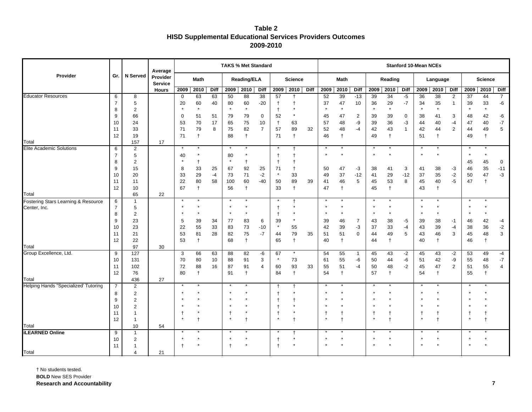| Table 2                                                          |
|------------------------------------------------------------------|
| <b>HISD Supplemental Educational Services Providers Outcomes</b> |
| 2009-2010                                                        |

|                                      |                |                       | Average                    |             |            |          | <b>TAKS % Met Standard</b> |                |                 |               |                |             |          |            |                    |          |               |              | <b>Stanford 10-Mean NCEs</b> |            |                |                 |                |                |
|--------------------------------------|----------------|-----------------------|----------------------------|-------------|------------|----------|----------------------------|----------------|-----------------|---------------|----------------|-------------|----------|------------|--------------------|----------|---------------|--------------|------------------------------|------------|----------------|-----------------|----------------|----------------|
| Provider                             | Gr.            | <b>N</b> Served       | Provider<br><b>Service</b> |             | Math       |          |                            | Reading/ELA    |                 |               | <b>Science</b> |             |          | Math       |                    |          | Reading       |              |                              | Language   |                |                 | <b>Science</b> |                |
|                                      |                |                       | <b>Hours</b>               | 2009        | 2010       | Diff     |                            | 2009 2010      | Diff            | 2009          | 2010           | <b>Diff</b> | 2009     | 2010       | Diff               | 2009     | 2010          | Diff         | 2009                         | 2010       | <b>Diff</b>    | 2009            | 2010           | Diff           |
| <b>Educator Resources</b>            | 6              | 8                     |                            | $\mathbf 0$ | 63         | 63       | 50                         | 88             | $\overline{38}$ | 57            | $\ddagger$     |             | 52       | 39         | $-13$              | 39       | 34            | $-5$         | 36                           | 38         | $\overline{2}$ | $\overline{37}$ | 44             | $\overline{7}$ |
|                                      | $\overline{7}$ | 5                     |                            | 20          | 60         | 40       | 80                         | 60             | $-20$           | $\mathsf{t}$  | $\ddagger$     |             | 37       | 47         | 10                 | 36       | 29            | $-7$         | 34                           | 35         | -1             | 39              | 33             | -6             |
|                                      | 8              | $\overline{2}$        |                            |             |            |          | $\star$                    | $\star$        |                 | $^{\dagger}$  | $\star$        |             |          |            |                    | $\star$  | $\star$       |              | $\star$                      | $\star$    |                |                 |                |                |
|                                      | 9              | 66                    |                            | $\mathbf 0$ | 51         | 51       | 79                         | 79             | $\mathbf 0$     | 52            | $^\star$       |             | 45       | 47         | $\overline{2}$     | 39       | 39            | $\mathbf 0$  | 38                           | 41         | 3              | 48              | 42             | -6             |
|                                      | 10             | 24                    |                            | 53          | 70         | 17       | 65                         | 75             | 10              | $\ddagger$    | 63             |             | 57       | 48         | -9                 | 39       | 36            | -3           | 44                           | 40         | $-4$           | 47              | 40             | $-7$           |
|                                      | 11             | 33                    |                            | 71          | 79         | 8        | 75                         | 82             | $\overline{7}$  | 57            | 89             | 32          | 52       | 48         | $-4$               | 42       | 43            | $\mathbf{1}$ | 42                           | 44         | $\overline{2}$ | 44              | 49             | 5              |
| Total                                | 12             | 19                    |                            | 71          | $\ddagger$ |          | 88                         | $\ddagger$     |                 | 71            | $\ddagger$     |             | 46       | $\ddagger$ |                    | 49       | $\ddagger$    |              | 51                           | $\ddagger$ |                | 49              | $\ddagger$     |                |
| Elite Academic Solutions             | 6              | 157<br>2              | 17                         | $\star$     | $\star$    |          | $\star$                    | $\star$        |                 | $\star$       | $\ddagger$     |             | $\star$  | $\star$    |                    |          | $\star$       |              | $\star$                      | $\star$    |                | $\star$         |                |                |
|                                      | $\overline{7}$ | 5                     |                            | 40          |            |          | 80                         |                |                 | $\ddagger$    |                |             | $\star$  |            |                    |          |               |              |                              |            |                | $\star$         |                |                |
|                                      | 8              | $\overline{2}$        |                            |             |            |          | $\star$                    | $\ddagger$     |                 | $\ddagger$    |                |             |          |            |                    |          |               |              |                              |            |                | 45              | 45             | $\mathbf 0$    |
|                                      | 9              | 15                    |                            | 8           | 33         | 25       | 67                         | 92             | 25              | 71            | $^\dagger$     |             | 50       | 47         | $-3$               | 38       | 41            | 3            | 41                           | 38         | $-3$           | 46              | $35\,$         | $-11$          |
|                                      | 10             | 20                    |                            | 33          | 29         | $-4$     | 73                         | 71             | $-2$            | $\star$       | 33             |             | 49       | 37         | $-12$              | 41       | 29            | $-12$        | 37                           | 35         | $-2$           | 50              | 47             | $-3$           |
|                                      | 11             | 11                    |                            | 22          | 80         | 58       | 100                        | 60             | $-40$           | 50            | 89             | 39          | 41       | 46         | 5                  | 45       | 53            | 8            | 45                           | $40\,$     | $-5$           | 47              | $\ddagger$     |                |
|                                      | 12             | 10                    |                            | 67          |            |          | 56                         | $\ddagger$     |                 | 33            | $\ddagger$     |             | 47       | $\ddagger$ |                    | 45       | $\ddagger$    |              | 43                           | $\ddagger$ |                |                 |                |                |
| Total                                |                | 65                    | 22                         |             |            |          |                            |                |                 |               |                |             |          |            |                    |          |               |              |                              |            |                |                 |                |                |
| Fostering Stars Learning & Resource  | 6              | $\mathbf{1}$          |                            | $\star$     |            |          |                            |                |                 |               | $\mathsf{t}$   |             |          |            |                    |          |               |              |                              |            |                | $\star$         |                |                |
| Center, Inc.                         | $\overline{7}$ | 5                     |                            | $\star$     |            |          |                            |                |                 | $\ddagger$    |                |             | $\star$  |            |                    |          | $\star$       |              |                              | $\star$    |                |                 |                |                |
|                                      | 8              | 2                     |                            |             |            |          |                            |                |                 | t             |                |             |          |            |                    |          |               |              |                              |            |                |                 |                |                |
|                                      | 9              | 23                    |                            | 5           | 39         | 34       | 77                         | 83             | 6               | 39            | $\star$        |             | 39       | 46         | $\overline{7}$     | 43       | 38            | $-5$         | 39                           | 38         | $-1$           | 46              | 42             | $-4$           |
|                                      | 10             | 23                    |                            | 22          | 55         | 33       | 83                         | 73             | $-10$           | $\star$       | 55             |             | 42       | 39         | -3                 | 37       | 33            | $-4$         | 43                           | 39         | $-4$           | 38              | 36             | $-2$           |
|                                      | 11             | 21                    |                            | 53          | 81         | 28       | 82                         | 75             | $-7$            | 44            | $\bf 79$       | 35          | 51       | 51         | $\mathsf 0$        | 44       | 49            | 5            | 43                           | 46         | 3              | 45              | 48             | 3              |
|                                      | 12             | 22                    |                            | 53          | $\ddagger$ |          | 68                         | $\ddagger$     |                 | 65            | $\ddagger$     |             | 40       | $\ddagger$ |                    | 44       | $\ddagger$    |              | 40                           | $\ddagger$ |                | 46              | $\ddagger$     |                |
| Total                                |                | 97                    | 30                         |             |            |          |                            |                |                 |               | $\star$        |             |          |            |                    |          |               |              |                              |            |                |                 |                |                |
| Group Excellence, Ltd.               | 9<br>10        | 127                   |                            | 3<br>70     | 66<br>80   | 63<br>10 | 88                         | 82             | -6              | 67<br>$\star$ | 73             |             | 54       | 55<br>55   | $\mathbf{1}$<br>-6 | 45       | 43            | $-2$<br>-6   | 45                           | 43         | $-2$<br>-9     | 53<br>55        | 49             | $-4$<br>$-7$   |
|                                      | 11             | 131<br>102            |                            | 72          | 88         | 16       | 88<br>87                   | 91<br>91       | 3<br>4          | 60            | 93             | 33          | 61<br>55 | 51         | $-4$               | 50<br>50 | 44<br>48      | $-2$         | 51<br>45                     | 42<br>47   | 2              | 51              | 48<br>55       | $\overline{4}$ |
|                                      | 12             | 76                    |                            | 80          |            |          | 91                         | $\ddagger$     |                 | 84            | $\ddagger$     |             | 54       | $\ddagger$ |                    | 57       | $\ddagger$    |              | 54                           | $\ddagger$ |                | 55              | t              |                |
| Total                                |                | 436                   | 27                         |             |            |          |                            |                |                 |               |                |             |          |            |                    |          |               |              |                              |            |                |                 |                |                |
| Helping Hands "Specialized' Tutoring | $\overline{7}$ | $\overline{2}$        |                            | $\star$     |            |          |                            |                |                 | $^{\dagger}$  | $\ddagger$     |             | $\star$  |            |                    |          |               |              |                              |            |                |                 |                |                |
|                                      | 8              | 2                     |                            |             |            |          |                            |                |                 | $\ddagger$    |                |             |          |            |                    |          |               |              |                              | $\star$    |                |                 |                |                |
|                                      | 9              | $\overline{2}$        |                            |             |            |          |                            |                |                 |               | t              |             |          |            |                    |          |               |              |                              |            |                |                 |                |                |
|                                      | 10             | $\overline{2}$        |                            |             |            |          |                            |                |                 | $\ddagger$    | $\star$        |             |          |            |                    |          |               |              |                              | $\star$    |                |                 |                |                |
|                                      | 11             | -1                    |                            |             |            |          |                            |                |                 | $^\dagger$    |                |             | t,       | 1          |                    |          | $^\mathrm{+}$ |              | $^\dagger$                   | t          |                | $\mathsf{t}$    | t              |                |
|                                      | 12             | $\overline{1}$        |                            |             |            |          |                            | $\overline{1}$ |                 |               | $\ddagger$     |             | $\star$  | $\ddagger$ |                    |          | $\ddagger$    |              | $\star$                      | $\ddagger$ |                | $\star$         | $\ddagger$     |                |
| Total                                |                | 10                    | 54                         |             |            |          |                            |                |                 |               |                |             |          |            |                    |          |               |              |                              |            |                |                 |                |                |
| <b>iLEARNED Online</b>               | 9              | $\mathbf{1}$          |                            |             |            |          |                            |                |                 |               | $\ddagger$     |             |          |            |                    |          |               |              |                              |            |                |                 |                |                |
|                                      | 10             | $\overline{2}$        |                            |             |            |          |                            | $\star$        |                 | $\ddagger$    | $\star$        |             | $\star$  |            |                    |          | $\star$       |              |                              | $\star$    |                |                 |                |                |
|                                      | 11             |                       |                            |             |            |          |                            |                |                 | $\ddagger$    |                |             | $\star$  |            |                    |          |               |              |                              |            |                |                 |                |                |
| Total                                |                | $\boldsymbol{\Delta}$ | 21                         |             |            |          |                            |                |                 |               |                |             |          |            |                    |          |               |              |                              |            |                |                 |                |                |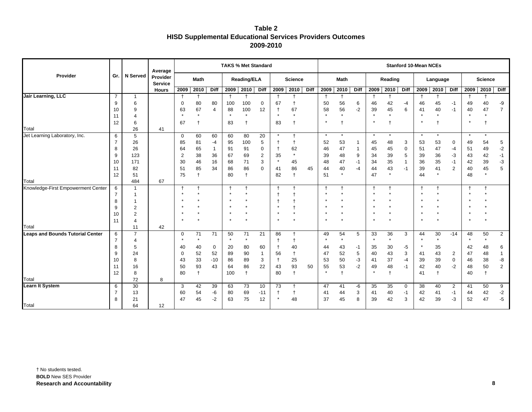| Table 2                                                          |
|------------------------------------------------------------------|
| <b>HISD Supplemental Educational Services Providers Outcomes</b> |
| 2009-2010                                                        |

| Gr.            | <b>N</b> Served                                                                                   | Provider<br><b>Service</b>                                                                                    |                                | <b>Math</b>                                                                                                                                          |                                                                                                                                              |                                                                                           |                                                                                                      |                                                                                                                                                     |                                                                                                                                  |                                                                                                                                                                        |                                                                                                                                                                              |                            | <b>Math</b>                                                                                                                                  |                                                                                                             |                                                                       |                                                                                                                   |                                                                                                                            |                                                                                                      |                                                                            |                                                                                                                                                                        |                                                                                                                    |                                                                                                             |                                                                                                                               |
|----------------|---------------------------------------------------------------------------------------------------|---------------------------------------------------------------------------------------------------------------|--------------------------------|------------------------------------------------------------------------------------------------------------------------------------------------------|----------------------------------------------------------------------------------------------------------------------------------------------|-------------------------------------------------------------------------------------------|------------------------------------------------------------------------------------------------------|-----------------------------------------------------------------------------------------------------------------------------------------------------|----------------------------------------------------------------------------------------------------------------------------------|------------------------------------------------------------------------------------------------------------------------------------------------------------------------|------------------------------------------------------------------------------------------------------------------------------------------------------------------------------|----------------------------|----------------------------------------------------------------------------------------------------------------------------------------------|-------------------------------------------------------------------------------------------------------------|-----------------------------------------------------------------------|-------------------------------------------------------------------------------------------------------------------|----------------------------------------------------------------------------------------------------------------------------|------------------------------------------------------------------------------------------------------|----------------------------------------------------------------------------|------------------------------------------------------------------------------------------------------------------------------------------------------------------------|--------------------------------------------------------------------------------------------------------------------|-------------------------------------------------------------------------------------------------------------|-------------------------------------------------------------------------------------------------------------------------------|
|                |                                                                                                   | <b>Hours</b>                                                                                                  | 2009                           | 2010                                                                                                                                                 | Diff                                                                                                                                         | 2009                                                                                      | 2010                                                                                                 | <b>Diff</b>                                                                                                                                         | 2009                                                                                                                             | 2010                                                                                                                                                                   | Diff                                                                                                                                                                         | 2009                       | 2010                                                                                                                                         | <b>Diff</b>                                                                                                 | 2009                                                                  | 2010                                                                                                              | <b>Diff</b>                                                                                                                | 2009                                                                                                 |                                                                            | <b>Diff</b>                                                                                                                                                            | 2009                                                                                                               | 2010                                                                                                        | <b>Diff</b>                                                                                                                   |
| $\overline{7}$ | $\mathbf{1}$                                                                                      |                                                                                                               | $\overline{1}$                 | t                                                                                                                                                    |                                                                                                                                              |                                                                                           | ŧ                                                                                                    |                                                                                                                                                     |                                                                                                                                  | $^{\mathrm{+}}$                                                                                                                                                        |                                                                                                                                                                              | $\mathsf{t}$               |                                                                                                                                              |                                                                                                             |                                                                       | t                                                                                                                 |                                                                                                                            |                                                                                                      | $\mathsf{t}$                                                               |                                                                                                                                                                        | $\mathbf t$                                                                                                        |                                                                                                             |                                                                                                                               |
| 9              | 6                                                                                                 |                                                                                                               | $\mathbf 0$                    |                                                                                                                                                      |                                                                                                                                              |                                                                                           |                                                                                                      | $\mathbf 0$                                                                                                                                         | 67                                                                                                                               | $\ddagger$                                                                                                                                                             |                                                                                                                                                                              |                            |                                                                                                                                              | 6                                                                                                           |                                                                       |                                                                                                                   | $-4$                                                                                                                       | 46                                                                                                   |                                                                            | -1                                                                                                                                                                     | 49                                                                                                                 |                                                                                                             | -9                                                                                                                            |
| 10             | 9                                                                                                 |                                                                                                               |                                |                                                                                                                                                      | 4                                                                                                                                            |                                                                                           |                                                                                                      |                                                                                                                                                     |                                                                                                                                  |                                                                                                                                                                        |                                                                                                                                                                              |                            |                                                                                                                                              |                                                                                                             |                                                                       |                                                                                                                   |                                                                                                                            | 41                                                                                                   |                                                                            |                                                                                                                                                                        |                                                                                                                    |                                                                                                             | $\overline{7}$                                                                                                                |
|                | 4                                                                                                 |                                                                                                               |                                |                                                                                                                                                      |                                                                                                                                              |                                                                                           |                                                                                                      |                                                                                                                                                     |                                                                                                                                  |                                                                                                                                                                        |                                                                                                                                                                              |                            |                                                                                                                                              |                                                                                                             |                                                                       |                                                                                                                   |                                                                                                                            |                                                                                                      |                                                                            |                                                                                                                                                                        |                                                                                                                    |                                                                                                             |                                                                                                                               |
|                |                                                                                                   |                                                                                                               |                                |                                                                                                                                                      |                                                                                                                                              |                                                                                           |                                                                                                      |                                                                                                                                                     |                                                                                                                                  |                                                                                                                                                                        |                                                                                                                                                                              |                            |                                                                                                                                              |                                                                                                             |                                                                       |                                                                                                                   |                                                                                                                            |                                                                                                      |                                                                            |                                                                                                                                                                        |                                                                                                                    |                                                                                                             |                                                                                                                               |
|                |                                                                                                   |                                                                                                               |                                |                                                                                                                                                      |                                                                                                                                              |                                                                                           |                                                                                                      |                                                                                                                                                     |                                                                                                                                  |                                                                                                                                                                        |                                                                                                                                                                              |                            |                                                                                                                                              |                                                                                                             |                                                                       |                                                                                                                   |                                                                                                                            |                                                                                                      |                                                                            |                                                                                                                                                                        |                                                                                                                    |                                                                                                             |                                                                                                                               |
|                |                                                                                                   |                                                                                                               |                                |                                                                                                                                                      |                                                                                                                                              |                                                                                           |                                                                                                      |                                                                                                                                                     |                                                                                                                                  |                                                                                                                                                                        |                                                                                                                                                                              |                            |                                                                                                                                              |                                                                                                             |                                                                       |                                                                                                                   |                                                                                                                            |                                                                                                      |                                                                            |                                                                                                                                                                        |                                                                                                                    |                                                                                                             |                                                                                                                               |
|                |                                                                                                   |                                                                                                               |                                |                                                                                                                                                      |                                                                                                                                              |                                                                                           |                                                                                                      |                                                                                                                                                     |                                                                                                                                  |                                                                                                                                                                        |                                                                                                                                                                              |                            |                                                                                                                                              |                                                                                                             |                                                                       |                                                                                                                   |                                                                                                                            |                                                                                                      |                                                                            |                                                                                                                                                                        |                                                                                                                    |                                                                                                             | 5                                                                                                                             |
|                |                                                                                                   |                                                                                                               |                                |                                                                                                                                                      |                                                                                                                                              |                                                                                           |                                                                                                      |                                                                                                                                                     |                                                                                                                                  |                                                                                                                                                                        |                                                                                                                                                                              |                            |                                                                                                                                              |                                                                                                             |                                                                       |                                                                                                                   |                                                                                                                            |                                                                                                      |                                                                            |                                                                                                                                                                        |                                                                                                                    |                                                                                                             | $-2$<br>$-1$                                                                                                                  |
|                |                                                                                                   |                                                                                                               |                                |                                                                                                                                                      |                                                                                                                                              |                                                                                           |                                                                                                      |                                                                                                                                                     | $\star$                                                                                                                          |                                                                                                                                                                        |                                                                                                                                                                              |                            |                                                                                                                                              |                                                                                                             |                                                                       |                                                                                                                   |                                                                                                                            |                                                                                                      |                                                                            |                                                                                                                                                                        |                                                                                                                    |                                                                                                             | $-3$                                                                                                                          |
|                |                                                                                                   |                                                                                                               |                                |                                                                                                                                                      |                                                                                                                                              |                                                                                           |                                                                                                      |                                                                                                                                                     |                                                                                                                                  |                                                                                                                                                                        |                                                                                                                                                                              |                            |                                                                                                                                              |                                                                                                             |                                                                       |                                                                                                                   |                                                                                                                            |                                                                                                      |                                                                            |                                                                                                                                                                        |                                                                                                                    |                                                                                                             | 5                                                                                                                             |
|                |                                                                                                   |                                                                                                               |                                |                                                                                                                                                      |                                                                                                                                              |                                                                                           |                                                                                                      |                                                                                                                                                     |                                                                                                                                  |                                                                                                                                                                        |                                                                                                                                                                              |                            | $\star$                                                                                                                                      |                                                                                                             |                                                                       | $\star$                                                                                                           |                                                                                                                            |                                                                                                      | $^\star$                                                                   |                                                                                                                                                                        |                                                                                                                    |                                                                                                             |                                                                                                                               |
|                |                                                                                                   |                                                                                                               |                                |                                                                                                                                                      |                                                                                                                                              |                                                                                           |                                                                                                      |                                                                                                                                                     |                                                                                                                                  |                                                                                                                                                                        |                                                                                                                                                                              |                            |                                                                                                                                              |                                                                                                             |                                                                       |                                                                                                                   |                                                                                                                            |                                                                                                      |                                                                            |                                                                                                                                                                        |                                                                                                                    |                                                                                                             |                                                                                                                               |
|                | $\mathbf{1}$                                                                                      |                                                                                                               |                                |                                                                                                                                                      |                                                                                                                                              | t                                                                                         | $\ddagger$                                                                                           |                                                                                                                                                     |                                                                                                                                  | $\ddagger$                                                                                                                                                             |                                                                                                                                                                              |                            |                                                                                                                                              |                                                                                                             | $\overline{1}$                                                        | $\ddagger$                                                                                                        |                                                                                                                            | $\overline{1}$                                                                                       | $\ddagger$                                                                 |                                                                                                                                                                        | $\overline{1}$                                                                                                     |                                                                                                             |                                                                                                                               |
| $\overline{7}$ | 1                                                                                                 |                                                                                                               |                                |                                                                                                                                                      |                                                                                                                                              |                                                                                           |                                                                                                      |                                                                                                                                                     |                                                                                                                                  | $\ddagger$                                                                                                                                                             |                                                                                                                                                                              |                            |                                                                                                                                              |                                                                                                             |                                                                       |                                                                                                                   |                                                                                                                            |                                                                                                      |                                                                            |                                                                                                                                                                        |                                                                                                                    |                                                                                                             |                                                                                                                               |
| 8              |                                                                                                   |                                                                                                               |                                |                                                                                                                                                      |                                                                                                                                              |                                                                                           |                                                                                                      |                                                                                                                                                     |                                                                                                                                  | $\mathsf{t}$                                                                                                                                                           |                                                                                                                                                                              |                            |                                                                                                                                              |                                                                                                             |                                                                       |                                                                                                                   |                                                                                                                            |                                                                                                      |                                                                            |                                                                                                                                                                        |                                                                                                                    |                                                                                                             |                                                                                                                               |
| 9              | $\overline{2}$                                                                                    |                                                                                                               |                                |                                                                                                                                                      |                                                                                                                                              |                                                                                           |                                                                                                      |                                                                                                                                                     | $\star$                                                                                                                          | $\ddagger$                                                                                                                                                             |                                                                                                                                                                              |                            |                                                                                                                                              |                                                                                                             |                                                                       |                                                                                                                   |                                                                                                                            |                                                                                                      |                                                                            |                                                                                                                                                                        |                                                                                                                    |                                                                                                             |                                                                                                                               |
| 10             | $\overline{2}$                                                                                    |                                                                                                               |                                |                                                                                                                                                      |                                                                                                                                              |                                                                                           |                                                                                                      |                                                                                                                                                     | $\star$                                                                                                                          | $\star$                                                                                                                                                                |                                                                                                                                                                              | $\star$                    |                                                                                                                                              |                                                                                                             |                                                                       |                                                                                                                   |                                                                                                                            |                                                                                                      | $\star$                                                                    |                                                                                                                                                                        |                                                                                                                    |                                                                                                             |                                                                                                                               |
| 11             | 4                                                                                                 |                                                                                                               |                                |                                                                                                                                                      |                                                                                                                                              |                                                                                           |                                                                                                      |                                                                                                                                                     | $\star$                                                                                                                          |                                                                                                                                                                        |                                                                                                                                                                              | $\star$                    |                                                                                                                                              |                                                                                                             | $\star$                                                               |                                                                                                                   |                                                                                                                            |                                                                                                      |                                                                            |                                                                                                                                                                        |                                                                                                                    |                                                                                                             |                                                                                                                               |
|                | 11                                                                                                | 42                                                                                                            |                                |                                                                                                                                                      |                                                                                                                                              |                                                                                           |                                                                                                      |                                                                                                                                                     |                                                                                                                                  |                                                                                                                                                                        |                                                                                                                                                                              |                            |                                                                                                                                              |                                                                                                             |                                                                       |                                                                                                                   |                                                                                                                            |                                                                                                      |                                                                            |                                                                                                                                                                        |                                                                                                                    |                                                                                                             |                                                                                                                               |
| 6              | $\overline{7}$                                                                                    |                                                                                                               | 0                              | 71                                                                                                                                                   | 71                                                                                                                                           | 50                                                                                        | 71                                                                                                   | 21                                                                                                                                                  | 86                                                                                                                               | $^{\mathrm{+}}$                                                                                                                                                        |                                                                                                                                                                              | 49                         | 54                                                                                                                                           | 5                                                                                                           | 33                                                                    | 36                                                                                                                | 3                                                                                                                          | 44                                                                                                   | 30                                                                         | $-14$                                                                                                                                                                  | 48                                                                                                                 | 50                                                                                                          | $\overline{2}$                                                                                                                |
| $\overline{7}$ | 4                                                                                                 |                                                                                                               |                                |                                                                                                                                                      |                                                                                                                                              |                                                                                           |                                                                                                      |                                                                                                                                                     |                                                                                                                                  | $\ddagger$                                                                                                                                                             |                                                                                                                                                                              | $\star$                    |                                                                                                                                              |                                                                                                             | $\star$                                                               |                                                                                                                   |                                                                                                                            |                                                                                                      |                                                                            |                                                                                                                                                                        | $\star$                                                                                                            |                                                                                                             |                                                                                                                               |
| 8              | 5                                                                                                 |                                                                                                               | 40                             | 40                                                                                                                                                   | 0                                                                                                                                            | 20                                                                                        | 80                                                                                                   | 60                                                                                                                                                  | $\mathsf{t}$                                                                                                                     | 40                                                                                                                                                                     |                                                                                                                                                                              | 44                         | 43                                                                                                                                           | $-1$                                                                                                        | 35                                                                    | 30                                                                                                                | -5                                                                                                                         |                                                                                                      | 35                                                                         |                                                                                                                                                                        | 42                                                                                                                 | 48                                                                                                          | 6                                                                                                                             |
|                |                                                                                                   |                                                                                                               |                                |                                                                                                                                                      |                                                                                                                                              |                                                                                           |                                                                                                      |                                                                                                                                                     |                                                                                                                                  |                                                                                                                                                                        |                                                                                                                                                                              |                            |                                                                                                                                              |                                                                                                             |                                                                       |                                                                                                                   |                                                                                                                            |                                                                                                      |                                                                            |                                                                                                                                                                        |                                                                                                                    |                                                                                                             | 1                                                                                                                             |
|                |                                                                                                   |                                                                                                               |                                |                                                                                                                                                      |                                                                                                                                              |                                                                                           |                                                                                                      |                                                                                                                                                     |                                                                                                                                  |                                                                                                                                                                        |                                                                                                                                                                              |                            |                                                                                                                                              |                                                                                                             |                                                                       |                                                                                                                   |                                                                                                                            |                                                                                                      |                                                                            |                                                                                                                                                                        |                                                                                                                    |                                                                                                             | -8                                                                                                                            |
|                |                                                                                                   |                                                                                                               |                                |                                                                                                                                                      |                                                                                                                                              |                                                                                           |                                                                                                      |                                                                                                                                                     |                                                                                                                                  |                                                                                                                                                                        |                                                                                                                                                                              |                            |                                                                                                                                              |                                                                                                             |                                                                       |                                                                                                                   |                                                                                                                            |                                                                                                      |                                                                            |                                                                                                                                                                        |                                                                                                                    |                                                                                                             | $\mathbf{2}$                                                                                                                  |
|                |                                                                                                   |                                                                                                               |                                |                                                                                                                                                      |                                                                                                                                              |                                                                                           |                                                                                                      |                                                                                                                                                     |                                                                                                                                  |                                                                                                                                                                        |                                                                                                                                                                              |                            |                                                                                                                                              |                                                                                                             |                                                                       |                                                                                                                   |                                                                                                                            |                                                                                                      |                                                                            |                                                                                                                                                                        |                                                                                                                    |                                                                                                             |                                                                                                                               |
|                |                                                                                                   |                                                                                                               |                                |                                                                                                                                                      |                                                                                                                                              |                                                                                           |                                                                                                      |                                                                                                                                                     |                                                                                                                                  |                                                                                                                                                                        |                                                                                                                                                                              |                            |                                                                                                                                              |                                                                                                             |                                                                       |                                                                                                                   |                                                                                                                            |                                                                                                      |                                                                            |                                                                                                                                                                        |                                                                                                                    |                                                                                                             |                                                                                                                               |
|                |                                                                                                   |                                                                                                               |                                |                                                                                                                                                      |                                                                                                                                              |                                                                                           |                                                                                                      |                                                                                                                                                     |                                                                                                                                  |                                                                                                                                                                        |                                                                                                                                                                              |                            |                                                                                                                                              |                                                                                                             |                                                                       |                                                                                                                   |                                                                                                                            |                                                                                                      |                                                                            |                                                                                                                                                                        |                                                                                                                    |                                                                                                             | 9                                                                                                                             |
|                |                                                                                                   |                                                                                                               |                                |                                                                                                                                                      |                                                                                                                                              |                                                                                           |                                                                                                      |                                                                                                                                                     | $\star$                                                                                                                          |                                                                                                                                                                        |                                                                                                                                                                              |                            |                                                                                                                                              |                                                                                                             |                                                                       |                                                                                                                   |                                                                                                                            |                                                                                                      |                                                                            |                                                                                                                                                                        |                                                                                                                    |                                                                                                             | $-2$<br>-5                                                                                                                    |
|                |                                                                                                   |                                                                                                               |                                |                                                                                                                                                      |                                                                                                                                              |                                                                                           |                                                                                                      |                                                                                                                                                     |                                                                                                                                  |                                                                                                                                                                        |                                                                                                                                                                              |                            |                                                                                                                                              |                                                                                                             |                                                                       |                                                                                                                   |                                                                                                                            |                                                                                                      |                                                                            |                                                                                                                                                                        |                                                                                                                    |                                                                                                             |                                                                                                                               |
|                | 11<br>12<br>6<br>8<br>9<br>10<br>11<br>12<br>6<br>9<br>10<br>11<br>12<br>6<br>$\overline{7}$<br>8 | 6<br>26<br>5<br>26<br>26<br>123<br>171<br>82<br>51<br>484<br>24<br>8<br>16<br>8<br>72<br>30<br>13<br>21<br>64 | Average<br>41<br>67<br>8<br>12 | 63<br>$\star$<br>67<br>$\mathbf 0$<br>85<br>64<br>$\overline{2}$<br>30<br>51<br>75<br>$\mathsf{t}$<br>$\mathbf 0$<br>43<br>50<br>80<br>3<br>60<br>47 | 80<br>67<br>$\star$<br>t<br>60<br>81<br>65<br>38<br>46<br>85<br>$\ddagger$<br>t<br>$\star$<br>52<br>33<br>93<br>$\ddagger$<br>42<br>54<br>45 | 80<br>60<br>-4<br>$\overline{1}$<br>36<br>16<br>34<br>52<br>$-10$<br>43<br>39<br>-6<br>-2 | 100<br>88<br>83<br>60<br>95<br>91<br>67<br>68<br>86<br>80<br>89<br>86<br>64<br>100<br>63<br>80<br>63 | 100<br>100<br>$\star$<br>$\ddagger$<br>80<br>100<br>91<br>69<br>71<br>86<br>$\ddagger$<br>$\star$<br>90<br>89<br>86<br>$\ddagger$<br>73<br>69<br>75 | <b>Reading/ELA</b><br>12<br>20<br>5<br>0<br>$\overline{2}$<br>3<br>$\mathbf 0$<br>$\overline{1}$<br>3<br>22<br>10<br>$-11$<br>12 | <b>TAKS % Met Standard</b><br>$\ddagger$<br>$\star$<br>83<br>$\star$<br>$\ddagger$<br>$\ddagger$<br>35<br>41<br>82<br>$\ddagger$<br>56<br>$^\dagger$<br>43<br>80<br>73 | 67<br>$\star$<br>$\ddagger$<br>$\ddagger$<br>$\ddagger$<br>62<br>$\star$<br>45<br>86<br>$\ddagger$<br>$\ddagger$<br>25<br>93<br>$\ddagger$<br>$\ddagger$<br>$\ddagger$<br>48 | <b>Science</b><br>45<br>50 | 50<br>58<br>$\star$<br>$\star$<br>$\star$<br>52<br>46<br>39<br>48<br>44<br>51<br>$\mathsf{t}$<br>47<br>53<br>55<br>$\star$<br>47<br>41<br>37 | 56<br>56<br>$\star$<br>$\star$<br>53<br>47<br>48<br>47<br>40<br>$\star$<br>52<br>50<br>53<br>41<br>44<br>45 | $-2$<br>9<br>$-1$<br>$-4$<br>$\sqrt{5}$<br>-3<br>$-2$<br>-6<br>3<br>8 | 46<br>39<br>$\star$<br>$\star$<br>45<br>45<br>34<br>34<br>44<br>47<br>40<br>41<br>49<br>$\star$<br>35<br>41<br>39 | 42<br>45<br>$\star$<br>$\star$<br>48<br>45<br>39<br>35<br>43<br>$^\star$<br>43<br>37<br>48<br>$\ddagger$<br>35<br>40<br>42 | Reading<br>6<br>3<br>$\mathbf 0$<br>5<br>$\mathbf{1}$<br>$-1$<br>3<br>$-4$<br>$-1$<br>0<br>$-1$<br>3 | 53<br>51<br>39<br>36<br>39<br>44<br>41<br>39<br>42<br>41<br>38<br>42<br>42 | <b>Stanford 10-Mean NCEs</b><br>45<br>40<br>$\star$<br>$\ddot{}$<br>$\star$<br>53<br>47<br>36<br>35<br>41<br>$\star$<br>43<br>39<br>40<br>$\ddagger$<br>40<br>41<br>39 | Language<br>2010<br>$-1$<br>0<br>-4<br>-3<br>$-1$<br>2<br>2<br>$\mathbf 0$<br>$-2$<br>$\overline{2}$<br>$-1$<br>-3 | 40<br>$\star$<br>÷<br>$\star$<br>49<br>51<br>43<br>42<br>40<br>48<br>47<br>46<br>48<br>40<br>41<br>44<br>52 | <b>Science</b><br>40<br>47<br>$\star$<br>$\star$<br>54<br>49<br>42<br>39<br>45<br>$\star$<br>48<br>38<br>50<br>50<br>42<br>47 |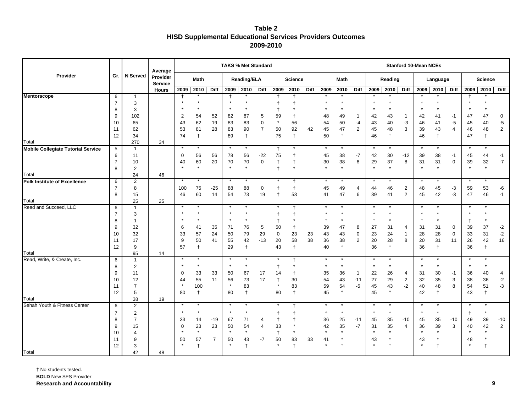| Table 2                                                          |
|------------------------------------------------------------------|
| <b>HISD Supplemental Educational Services Providers Outcomes</b> |
| 2009-2010                                                        |

|                                           |                     |                     | Average                    |               |            |                |               | <b>TAKS % Met Standard</b> |                     |               |                 |      |            |                  |                        |           |                  |                | <b>Stanford 10-Mean NCEs</b> |                  |                        |            |                |                        |
|-------------------------------------------|---------------------|---------------------|----------------------------|---------------|------------|----------------|---------------|----------------------------|---------------------|---------------|-----------------|------|------------|------------------|------------------------|-----------|------------------|----------------|------------------------------|------------------|------------------------|------------|----------------|------------------------|
| Provider                                  | Gr.                 | <b>N</b> Served     | Provider<br><b>Service</b> |               | Math       |                |               | Reading/ELA                |                     |               | <b>Science</b>  |      |            | <b>Math</b>      |                        |           | Reading          |                |                              | Language         |                        |            | <b>Science</b> |                        |
|                                           |                     |                     | <b>Hours</b>               | 2009          | 2010       | <b>Diff</b>    |               | 2009 2010                  | Diff                | 2009          | 2010            | Diff | 2009       | 2010             | <b>Diff</b>            | 2009 2010 |                  | <b>Diff</b>    |                              | 2009 2010        | <b>Diff</b>            | 2009       | 2010           | <b>Diff</b>            |
| <b>Mentorscope</b>                        | 6                   | $\mathbf{1}$        |                            | $^\dagger$    |            |                |               |                            |                     | $\ddagger$    |                 |      |            |                  |                        |           |                  |                |                              |                  |                        |            |                |                        |
|                                           | $\overline{7}$      | 3                   |                            | $\star$       |            |                |               |                            |                     | $\mathsf{t}$  | t               |      |            |                  |                        |           |                  |                |                              |                  |                        |            |                |                        |
|                                           | 8                   | 3                   |                            |               | $\star$    |                |               |                            |                     | $\ddagger$    |                 |      |            | $\star$          |                        |           | $\star$          |                |                              |                  |                        |            |                |                        |
|                                           | 9                   | 102                 |                            | 2             | 54         | 52             | 82            | 87                         | 5                   | 59<br>$\star$ | $\ddagger$      |      | 48         | 49               | $\mathbf{1}$           | 42        | 43               | $\mathbf{1}$   | 42                           | 41               | $-1$                   | 47         | 47             | 0                      |
|                                           | 10<br>11            | 65<br>62            |                            | 43<br>53      | 62<br>81   | 19<br>28       | 83<br>83      | 83<br>90                   | 0<br>$\overline{7}$ | 50            | 56<br>92        | 42   | 54<br>45   | 50<br>47         | $-4$<br>$\overline{2}$ | 43<br>45  | 40<br>48         | $-3$<br>3      | 46<br>39                     | 41<br>43         | $-5$<br>$\overline{4}$ | 45<br>46   | 40<br>48       | $-5$<br>$\overline{c}$ |
|                                           | 12                  | 34                  |                            | 74            | $\ddagger$ |                | 89            | $\ddagger$                 |                     | 75            | $\ddagger$      |      | 50         | $\mathbf{t}$     |                        | 46        | $\ddagger$       |                | 46                           | $\ddagger$       |                        | 47         | $\ddagger$     |                        |
| Total                                     |                     | 270                 | 34                         |               |            |                |               |                            |                     |               |                 |      |            |                  |                        |           |                  |                |                              |                  |                        |            |                |                        |
| <b>Mobile Collegiate Tutorial Service</b> | $5\phantom{.0}$     | $\mathbf{1}$        |                            | $\star$       | $\star$    |                | $\star$       | $\star$                    |                     | $\ddagger$    | $^\star$        |      | $\star$    | $\star$          |                        | $\star$   | $\star$          |                | $\star$                      | $\star$          |                        | $^{\star}$ |                |                        |
|                                           | 6                   | 11                  |                            | $\mathbf 0$   | 56         | 56             | 78            | 56                         | $-22$               | 75            | t               |      | 45         | 38               | $-7$                   | 42        | 30               | $-12$          | 39                           | 38               | -1                     | 45         | 44             | $-1$                   |
|                                           | $\overline{7}$      | 10                  |                            | 40            | 60         | 20             | $70\,$        | 70                         | $\mathsf 0$         | $\ddagger$    | $\ddagger$      |      | 30         | 38               | 8                      | 29        | 37               | 8              | 31                           | 31               | 0                      | 39         | 32             | $-7$                   |
|                                           | 8                   | $\overline{2}$      |                            |               |            |                | $\star$       | $\star$                    |                     | $\ddagger$    | $\star$         |      |            | $\star$          |                        | $\star$   | $\star$          |                | $\star$                      | $\star$          |                        | $\star$    | $\star$        |                        |
| Total                                     |                     | 24                  | 46                         |               |            |                |               |                            |                     |               |                 |      |            |                  |                        |           |                  |                |                              |                  |                        |            |                |                        |
| <b>Polk Institute of Excellence</b>       | 6                   | $\overline{2}$      |                            | $\star$       | $^\star$   |                |               | $\star$                    |                     |               | $\ddagger$      |      | $\star$    |                  |                        |           |                  |                |                              |                  |                        | $\star$    |                |                        |
|                                           | $\overline{7}$      | 8                   |                            | 100           | 75         | $-25$          | 88            | 88                         | $\mathbf 0$         | $\ddagger$    | $\ddagger$      |      | 45         | 49               | 4                      | 44        | 46               | $\overline{2}$ | 48                           | 45               | $-3$                   | 59         | 53             | $-6$                   |
|                                           | 8                   | 15                  |                            | 46            | 60         | 14             | 54            | 73                         | 19                  | $\ddagger$    | 53              |      | 41         | 47               | 6                      | 39        | 41               | $\overline{2}$ | 45                           | 42               | -3                     | 47         | 46             | $-1$                   |
| Total<br>Read and Succeed, LLC            |                     | 25                  | 25                         |               |            |                |               | $\star$                    |                     |               |                 |      |            |                  |                        |           |                  |                |                              |                  |                        |            |                |                        |
|                                           | 6<br>$\overline{7}$ | $\mathbf{1}$<br>3   |                            |               |            |                |               |                            |                     | t             | $\ddagger$<br>t |      |            |                  |                        |           | $\star$          |                |                              |                  |                        |            |                |                        |
|                                           | 8                   | $\mathbf{1}$        |                            |               | $\star$    |                | $\star$       | $\star$                    |                     | $\ddagger$    |                 |      |            | $\star$          |                        |           | $\star$          |                | $^\mathrm{+}$                | $\star$          |                        | $\ddagger$ | $\star$        |                        |
|                                           | 9                   | 32                  |                            | 6             | 41         | 35             | 71            | 76                         | 5                   | 50            | $\ddagger$      |      | 39         | 47               | 8                      | 27        | 31               | 4              | 31                           | 31               | 0                      | 39         | 37             | $-2$                   |
|                                           | 10                  | 32                  |                            | 33            | 57         | 24             | 50            | 79                         | 29                  | $\mathbf 0$   | 23              | 23   | 43         | 43               | $\mathbf 0$            | 23        | 24               | $\mathbf{1}$   | 28                           | 28               | $\mathbf 0$            | 33         | 31             | $-2$                   |
|                                           | 11                  | 17                  |                            | 9             | 50         | 41             | 55            | 42                         | $-13$               | 20            | 58              | 38   | 36         | 38               | $\overline{2}$         | 20        | 28               | 8              | 20                           | 31               | 11                     | 26         | 42             | 16                     |
|                                           | 12                  | 9                   |                            | 57            | $\ddagger$ |                | 29            | $\ddagger$                 |                     | 43            | $\ddagger$      |      | 40         | $\mathbf{t}$     |                        | 36        | $\ddagger$       |                | 36                           | $\ddagger$       |                        | 36         | $\ddagger$     |                        |
| Total                                     |                     | 95                  | 14                         |               |            |                |               |                            |                     |               |                 |      |            |                  |                        |           |                  |                |                              |                  |                        |            |                |                        |
| Read, Write, & Create, Inc.               | 6                   | $\mathbf{1}$        |                            | $\star$       |            |                |               | $\star$                    |                     |               | $\ddagger$      |      | $\star$    |                  |                        |           | $\star$          |                |                              |                  |                        | $\star$    |                |                        |
|                                           | 8                   | $\overline{2}$      |                            |               | $\star$    |                | $\star$       | $\star$                    |                     | $\mathsf{t}$  | $\star$         |      | $\star$    | $\star$          |                        | $\star$   | $\star$          |                | $\star$                      | $\star$          |                        | $\star$    | $\star$        |                        |
|                                           | 9                   | 11                  |                            | 0             | 33         | 33             | 50            | 67                         | 17                  | 14            | $\ddagger$      |      | 35         | 36               | $\mathbf{1}$           | 22        | 26               | 4              | 31                           | 30               | $-1$                   | 36         | 40             | 4                      |
|                                           | 10                  | 12                  |                            | 44<br>$\star$ | 55         | 11             | 56<br>$\star$ | 73                         | 17                  | $\ddagger$    | 30              |      | 54         | 43               | $-11$                  | 27        | 29               | $\overline{2}$ | 32                           | 35               | 3                      | 38         | 36             | $-2$                   |
|                                           | 11<br>12            | $\overline{7}$<br>5 |                            | 80            | 100        |                | 80            | 83                         |                     | 80            | 83              |      | 59<br>45   | 54<br>$\ddagger$ | $-5$                   | 45<br>45  | 43<br>$\ddagger$ | $-2$           | 40<br>42                     | 48<br>$\ddagger$ | 8                      | 54<br>43   | 51             | $-3$                   |
| Total                                     |                     | 38                  | 19                         |               | $\ddagger$ |                |               | $\ddagger$                 |                     |               | $\ddagger$      |      |            |                  |                        |           |                  |                |                              |                  |                        |            | $\ddagger$     |                        |
| Sehah Youth & Fitness Center              | 6                   | $\overline{2}$      |                            | $\star$       |            |                | $\star$       | $\star$                    |                     |               | $\ddagger$      |      | $\star$    |                  |                        |           | $\star$          |                | $\star$                      | $\star$          |                        |            |                |                        |
|                                           | $\overline{7}$      | $\overline{2}$      |                            | $\star$       | $\star$    |                | $\star$       | $\star$                    |                     | $\ddagger$    | $\ddagger$      |      | $\ddagger$ | $\star$          |                        |           | $\star$          |                | $^{\dagger}$                 | $\star$          |                        | $\ddagger$ | $\star$        |                        |
|                                           | 8                   | $\overline{7}$      |                            | 33            | 14         | $-19$          | 67            | 71                         | 4                   | $\ddagger$    | $\ddagger$      |      | 36         | 25               | $-11$                  | 45        | 35               | $-10$          | 45                           | 35               | $-10$                  | 49         | 39             | $-10$                  |
|                                           | 9                   | 15                  |                            | $\mathbf 0$   | 23         | 23             | 50            | 54                         | 4                   | 33            | $\star$         |      | 42         | 35               | $-7$                   | 31        | 35               | 4              | 36                           | 39               | 3                      | 40         | 42             | 2                      |
|                                           | 10                  | $\overline{4}$      |                            |               | $\star$    |                | $\star$       | $\star$                    |                     | $^\mathrm{+}$ | $\star$         |      | $\star$    |                  |                        |           | $\star$          |                | $\star$                      | $\star$          |                        | $\star$    |                |                        |
|                                           | 11                  | 9                   |                            | 50            | 57         | $\overline{7}$ | 50            | 43                         | -7                  | 50            | 83              | 33   | 41         |                  |                        | 43        |                  |                | 43                           | $\star$          |                        | 48         |                |                        |
|                                           | 12                  | 3                   |                            |               |            |                | $\star$       | $\ddagger$                 |                     |               | $\ddagger$      |      |            |                  |                        |           |                  |                |                              | $\ddagger$       |                        | $\star$    | $^{\dagger}$   |                        |
| Total                                     |                     | 42                  | 48                         |               |            |                |               |                            |                     |               |                 |      |            |                  |                        |           |                  |                |                              |                  |                        |            |                |                        |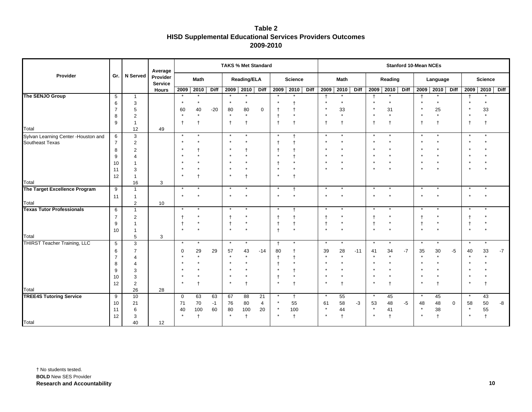| Table 2                                                          |
|------------------------------------------------------------------|
| <b>HISD Supplemental Educational Services Providers Outcomes</b> |
| 2009-2010                                                        |

|                                                         |                |                   | Average                    |                   |          |            | <b>TAKS % Met Standard</b> |                    |                      |                |                  |      |            |             |             |                          |            |      | <b>Stanford 10-Mean NCEs</b> |                |      |              |                |      |
|---------------------------------------------------------|----------------|-------------------|----------------------------|-------------------|----------|------------|----------------------------|--------------------|----------------------|----------------|------------------|------|------------|-------------|-------------|--------------------------|------------|------|------------------------------|----------------|------|--------------|----------------|------|
| Provider                                                | Gr.            | N Served          | Provider<br><b>Service</b> |                   | Math     |            |                            | <b>Reading/ELA</b> |                      |                | <b>Science</b>   |      |            | <b>Math</b> |             |                          | Reading    |      |                              | Language       |      |              | <b>Science</b> |      |
|                                                         |                |                   | <b>Hours</b>               | 2009              | 2010     | Diff       |                            | 2009 2010 Diff     |                      |                | 2009 2010        | Diff | 2009       | 2010        | <b>Diff</b> |                          | 2009 2010  | Diff |                              | 2009 2010 Diff |      |              | 2009 2010      | Diff |
| The SENJO Group                                         | 5              | $\mathbf{1}$      |                            |                   |          |            |                            |                    |                      |                |                  |      | $\ddagger$ |             |             |                          |            |      | $\ddagger$                   |                |      | $\mathsf{t}$ |                |      |
|                                                         | 6              | 3                 |                            |                   | $\star$  |            |                            | $\star$            |                      |                |                  |      | $\star$    |             |             |                          | $\star$    |      |                              | $\star$        |      |              |                |      |
|                                                         | $\overline{7}$ | 5                 |                            | 60                | 40       | $-20$      | 80                         | 80                 | $\mathbf 0$          |                |                  |      |            | 33          |             |                          | 31         |      |                              | 25             |      |              | 33             |      |
|                                                         | 8              | $\overline{2}$    |                            |                   | $\star$  |            | $\star$                    | $\star$            |                      | $\ddagger$     | $\star$          |      | $\star$    | $\star$     |             |                          | $\star$    |      | $\star$                      | $^\star$       |      | $\star$      |                |      |
|                                                         | 9              | $\overline{1}$    |                            |                   |          |            | f                          | $\ddagger$         |                      | $\ddagger$     | $\ddagger$       |      | $\ddagger$ |             |             |                          | $\ddagger$ |      | $\ddagger$                   | $\ddagger$     |      | $\mathbf{t}$ | $\mathbf t$    |      |
| Total                                                   |                | 12                | 49                         |                   |          |            |                            |                    |                      |                |                  |      |            |             |             |                          |            |      |                              |                |      |              |                |      |
| Sylvan Learning Center - Houston and<br>Southeast Texas | 6              | 3                 |                            | $\star$           | $\star$  |            | $\star$                    |                    |                      | $\star$        |                  |      | $\star$    |             |             |                          | $\star$    |      | $\star$                      | $^\star$       |      | $\star$      |                |      |
|                                                         | $\overline{7}$ | $\overline{2}$    |                            |                   |          |            |                            |                    |                      |                |                  |      |            |             |             |                          |            |      |                              |                |      |              |                |      |
|                                                         | 8              | $\overline{2}$    |                            |                   |          |            |                            |                    |                      |                |                  |      |            |             |             |                          |            |      |                              |                |      |              |                |      |
|                                                         | 9              | 4                 |                            |                   |          |            |                            |                    |                      |                |                  |      |            |             |             |                          |            |      |                              | $\star$        |      |              |                |      |
|                                                         | 10             | 1                 |                            |                   |          |            |                            |                    |                      |                |                  |      | $\star$    |             |             |                          |            |      |                              |                |      |              |                |      |
|                                                         | 11             | 3                 |                            |                   |          |            |                            |                    |                      |                |                  |      |            |             |             |                          |            |      |                              |                |      |              |                |      |
| Total                                                   | 12             | $\mathbf 1$<br>16 | 3                          |                   |          |            |                            |                    |                      |                | $\ddagger$       |      |            |             |             |                          |            |      |                              |                |      |              |                |      |
| The Target Excellence Program                           | 9              | $\mathbf{1}$      |                            |                   |          |            |                            |                    |                      |                | $^\mathrm{+}$    |      | $\star$    |             |             |                          |            |      |                              |                |      |              |                |      |
|                                                         | 11             | $\mathbf 1$       |                            | $\star$           |          |            |                            |                    |                      | $\star$        | $\star$          |      | $\star$    |             |             |                          |            |      |                              | $\star$        |      | $\star$      |                |      |
| Total                                                   |                | $\overline{2}$    | 10                         |                   |          |            |                            |                    |                      |                |                  |      |            |             |             |                          |            |      |                              |                |      |              |                |      |
| <b>Texas Tutor Professionals</b>                        | 6              | $\mathbf{1}$      |                            | $\star$           |          |            | $\star$                    | $\star$            |                      |                | t                |      | $\star$    |             |             |                          |            |      |                              |                |      |              |                |      |
|                                                         | $\overline{7}$ | $\overline{2}$    |                            |                   |          |            |                            |                    |                      |                |                  |      |            |             |             |                          |            |      | $^\dagger$                   |                |      |              |                |      |
|                                                         | 9              | $\overline{1}$    |                            |                   | $\star$  |            | $\ddagger$                 |                    |                      | $\ddagger$     | $^\dagger$       |      | $^\dagger$ | $\star$     |             | $\ddagger$               |            |      | $\ddagger$                   | $^\star$       |      | $\ddagger$   |                |      |
|                                                         | 10             | $\mathbf 1$       |                            |                   |          |            |                            |                    |                      | $\ddagger$     | $\star$          |      | $\star$    |             |             |                          |            |      | $\star$                      |                |      |              |                |      |
| Total                                                   |                | 5                 | 3                          |                   |          |            |                            |                    |                      |                |                  |      |            |             |             |                          |            |      |                              |                |      |              |                |      |
| <b>THIRST Teacher Training, LLC</b>                     | 5              | 3                 |                            | $\star$           | $\star$  |            | $\star$                    |                    |                      | $\overline{ }$ |                  |      | $\star$    |             |             |                          |            |      |                              | $\ast$         |      | $\star$      |                |      |
|                                                         | 6              | $\overline{7}$    |                            | $\Omega$          | 29       | 29         | 57                         | 43                 | $-14$                | 80             | $^\mathrm{+}$    |      | 39         | 28          | $-11$       | 41                       | 34         | $-7$ | 35                           | 30             | $-5$ | 40           | 33             | $-7$ |
|                                                         |                | 4                 |                            |                   | $\star$  |            |                            |                    |                      |                | $^\mathrm{+}$    |      |            |             |             |                          | $\star$    |      |                              | $\star$        |      |              |                |      |
|                                                         | 8              | 4                 |                            |                   |          |            |                            |                    |                      |                |                  |      |            |             |             |                          |            |      |                              | $\star$        |      |              |                |      |
|                                                         | 9              | 3                 |                            |                   |          |            |                            |                    |                      |                |                  |      |            |             |             |                          |            |      |                              |                |      |              |                |      |
|                                                         | 10             | 3                 |                            | $\star$           |          |            | $\star$                    |                    |                      | $\star$        |                  |      | $\star$    |             |             | $\star$                  |            |      |                              |                |      | $\star$      |                |      |
|                                                         | 12             | 2                 |                            |                   |          |            |                            |                    |                      |                | $\ddagger$       |      |            |             |             |                          | $\ddagger$ |      |                              | $\ddagger$     |      |              |                |      |
| Total<br><b>TREE4S Tutoring Service</b>                 |                | 26                | 28                         |                   |          |            |                            |                    |                      |                |                  |      | $\star$    |             |             |                          |            |      |                              |                |      | $\star$      |                |      |
|                                                         | 9<br>10        | 10<br>21          |                            | $\mathbf 0$<br>71 | 63<br>70 | 63<br>$-1$ | 67<br>76                   | 88<br>80           | 21<br>$\overline{4}$ | $\star$        | $\ddagger$<br>55 |      | 61         | 55<br>58    | -3          | 53                       | 45<br>48   | $-5$ | 48                           | 45<br>48       | 0    | 58           | 43<br>50       | -8   |
|                                                         | 11             | 6                 |                            | 40                | 100      | 60         | 80                         | 100                | 20                   | $\star$        | 100              |      | $\star$    | 44          |             | $\star$                  | 41         |      | $\star$                      | 38             |      | $\star$      | 55             |      |
|                                                         | 12             | 3                 |                            |                   |          |            | $\star$                    | $\ddagger$         |                      |                | $\ddagger$       |      | $\star$    |             |             | $\overline{\phantom{a}}$ | $\ddagger$ |      |                              | $\ddagger$     |      | $\star$      | $\ddagger$     |      |
| Total                                                   |                | 40                | 12                         |                   |          |            |                            |                    |                      |                |                  |      |            |             |             |                          |            |      |                              |                |      |              |                |      |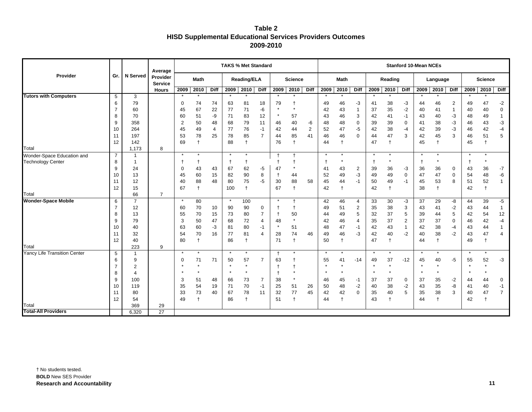| Table 2                                                          |
|------------------------------------------------------------------|
| <b>HISD Supplemental Educational Services Providers Outcomes</b> |
| 2009-2010                                                        |

|                                     |                |                 | Average                    |              |              |      | <b>TAKS % Met Standard</b> |                    |                |            |                |             |             |                |                |           |            |                | <b>Stanford 10-Mean NCEs</b> |            |             |              |                 |                |
|-------------------------------------|----------------|-----------------|----------------------------|--------------|--------------|------|----------------------------|--------------------|----------------|------------|----------------|-------------|-------------|----------------|----------------|-----------|------------|----------------|------------------------------|------------|-------------|--------------|-----------------|----------------|
| Provider                            | Gr.            | <b>N</b> Served | Provider<br><b>Service</b> |              | <b>Math</b>  |      |                            | <b>Reading/ELA</b> |                |            | <b>Science</b> |             |             | <b>Math</b>    |                |           | Reading    |                |                              | Language   |             |              | <b>Science</b>  |                |
|                                     |                |                 | <b>Hours</b>               | 2009         | 2010         | Diff | 2009 2010                  |                    | <b>Diff</b>    | 2009       | 2010           | <b>Diff</b> | 2009        | 2010           | Diff           | 2009 2010 |            | <b>Diff</b>    | 2009                         | 2010       | <b>Diff</b> | 2009         | 2010            | <b>Diff</b>    |
| <b>Tutors with Computers</b>        | 5              | 3               |                            |              |              |      |                            |                    |                |            |                |             |             |                |                |           |            |                |                              |            |             |              |                 |                |
|                                     | 6              | 79              |                            | $\mathbf 0$  | 74           | 74   | 63                         | 81                 | 18             | 79         | $\ddagger$     |             | 49          | 46             | $-3$           | 41        | 38         | -3             | 44                           | 46         | 2           | 49           | 47              | $-2$           |
|                                     | $\overline{7}$ | 60              |                            | 45           | 67           | 22   | 77                         | 71                 | -6             | $\star$    | $\star$        |             | 42          | 43             | $\mathbf{1}$   | 37        | 35         | $-2$           | 40                           | 41         |             | 40           | 40              | $\mathbf 0$    |
|                                     | 8              | 70              |                            | 60           | 51           | -9   | 71                         | 83                 | 12             | $\star$    | 57             |             | 43          | 46             | 3              | 42        | 41         | $-1$           | 43                           | 40         | -3          | 48           | 49              | $\mathbf{1}$   |
|                                     | 9              | 358             |                            | 2            | 50           | 48   | 68                         | 79                 | 11             | 46         | 40             | -6          | 48          | 48             | 0              | 39        | 39         | 0              | 41                           | 38         | -3          | 46           | 43              | $-3$           |
|                                     | 10             | 264             |                            | 45           | 49           | 4    | 77                         | 76                 | $-1$           | 42         | 44             | 2           | 52          | 47             | -5             | 42        | 38         | $-4$           | 42                           | 39         | -3          | 46           | 42              | $-4$           |
|                                     | 11             | 197             |                            | 53           | 78           | 25   | 78                         | 85                 | $\overline{7}$ | 44         | 85             | 41          | 46          | 46             | $\Omega$       | 44        | 47         | 3              | 42                           | 45         | 3           | 46           | 51              | 5              |
|                                     | 12             | 142             |                            | 69           |              |      | 88                         | $\ddagger$         |                | 76         | $\ddagger$     |             | 44          |                |                | 47        | $\ddagger$ |                | 45                           | $\ddagger$ |             | 45           | $\ddagger$      |                |
| Total                               |                | 1,173           | 8                          |              |              |      |                            |                    |                |            |                |             |             |                |                |           |            |                |                              |            |             |              |                 |                |
| Wonder-Space Education and          | $\overline{7}$ | $\overline{1}$  |                            | $\star$      | $\star$      |      | $\star$                    | $\star$            |                | $\ddagger$ | $\overline{1}$ |             | $\star$     | $\star$        |                |           | $\star$    |                | $\star$                      | $\star$    |             | $\star$      |                 |                |
| <b>Technology Center</b>            | 8              | -1              |                            | $\mathsf{t}$ | $\mathsf{t}$ |      | $\mathbf{f}$               | $\ddagger$         |                |            | $\ddagger$     |             | $\mathbf t$ |                |                |           | $\star$    |                | $\mathsf{t}$                 | $\star$    |             | $\mathsf{t}$ |                 |                |
|                                     | 9              | 24              |                            | $\mathbf 0$  | 43           | 43   | 67                         | 62                 | -5             | 47         | $\star$        |             | 41          | 43             | $\overline{2}$ | 39        | 36         | -3             | 36                           | 36         | 0           | 43           | 36              | $-7$           |
|                                     | 10             | 13              |                            | 45           | 60           | 15   | 82                         | 90                 | 8              |            | 44             |             | 52          | 49             | $-3$           | 49        | 49         | $\mathbf 0$    | 47                           | 47         | 0           | 54           | 48              | -6             |
|                                     | 11             | 12              |                            | 40           | 88           | 48   | 80                         | 75                 | $-5$           | 30         | 88             | 58          | 45          | 44             | $-1$           | 50        | 49         | $-1$           | 45                           | 53         | 8           | 51           | 52              | $\mathbf{1}$   |
|                                     | 12             | 15              |                            | 67           |              |      | 100                        | $\ddagger$         |                | 67         | $\ddagger$     |             | 42          | $\overline{1}$ |                | 42        | $\ddagger$ |                | 38                           | $\ddagger$ |             | 42           | $^{\mathrm{+}}$ |                |
| Total                               |                | 66              | $\overline{7}$             |              |              |      |                            |                    |                |            |                |             |             |                |                |           |            |                |                              |            |             |              |                 |                |
| <b>Wonder-Space Mobile</b>          | 6              | $\overline{7}$  |                            | $\star$      | 80           |      | $\star$                    | 100                |                |            | $\ddagger$     |             | 42          | 46             | 4              | 33        | 30         | $-3$           | 37                           | 29         | -8          | 44           | 39              | $-5$           |
|                                     | $\overline{7}$ | 12              |                            | 60           | 70           | 10   | 90                         | 90                 | 0              |            |                |             | 49          | 51             | $\overline{2}$ | 35        | 38         | 3              | 43                           | 41         | $-2$        | 43           | 44              | $\mathbf{1}$   |
|                                     | 8              | 13              |                            | 55           | 70           | 15   | 73                         | 80                 | $\overline{7}$ |            | 50<br>$\star$  |             | 44          | 49             | 5              | 32        | 37         | 5              | 39                           | 44         | 5           | 42           | 54              | 12             |
|                                     | 9              | 79              |                            | 3            | 50           | 47   | 68                         | 72                 | $\overline{4}$ | 48         |                |             | 42          | 46             | 4              | 35        | 37         | $\overline{2}$ | 37                           | 37         | 0           | 46           | 42              | $-4$           |
|                                     | 10             | 40              |                            | 63           | 60           | -3   | 81                         | 80                 | $-1$           |            | 51             |             | 48          | 47             | $-1$           | 42        | 43         | $\mathbf{1}$   | 42                           | 38         | $-4$        | 43           | 44              | $\mathbf{1}$   |
|                                     | 11             | 32              |                            | 54           | 70           | 16   | 77                         | 81                 | $\overline{4}$ | 28         | 74             | 46          | 49          | 46             | -3             | 42        | 40         | $-2$           | 40                           | 38         | $-2$        | 43           | 47              | $\overline{4}$ |
| Total                               | 12             | 40<br>223       |                            | 80           |              |      | 86                         | $\ddagger$         |                | 71         | $\ddagger$     |             | 50          |                |                | 47        | $\ddagger$ |                | 44                           | $\ddagger$ |             | 49           | $\ddagger$      |                |
| <b>Yancy Life Transition Center</b> | 5              | $\overline{1}$  | 9                          | $\star$      |              |      | $\star$                    | $\star$            |                | $\ddagger$ | $\star$        |             | $\star$     |                |                |           | $\star$    |                |                              | $\star$    |             | $\star$      |                 |                |
|                                     | 6              | 9               |                            | 0            | 71           | 71   | 50                         | 57                 | $\overline{7}$ | 63         |                |             | 55          | 41             | $-14$          | 49        | 37         | $-12$          | 45                           | 40         | $-5$        | 55           | 52              | -3             |
|                                     | $\overline{7}$ | $\overline{2}$  |                            |              | $\star$      |      | $\star$                    | $\star$            |                |            |                |             |             | $\star$        |                |           | $\star$    |                |                              | $\star$    |             |              |                 |                |
|                                     | 8              | 4               |                            |              | $\star$      |      | $\star$                    | $\star$            |                |            | $\star$        |             | $\star$     | $\star$        |                |           | $\star$    |                |                              | $\star$    |             | $\star$      |                 |                |
|                                     | 9              | 100             |                            | 3            | 51           | 48   | 66                         | 73                 | $\overline{7}$ | 38         | $\star$        |             | 46          | 45             | $-1$           | 37        | 37         | 0              | 37                           | 35         | $-2$        | 44           | 44              | 0              |
|                                     | 10             | 119             |                            | 35           | 54           | 19   | 71                         | 70                 | $-1$           | 25         | 51             | 26          | 50          | 48             | $-2$           | 40        | 38         | $-2$           | 43                           | 35         | -8          | 41           | 40              | $-1$           |
|                                     | 11             | 80              |                            | 33           | 73           | 40   | 67                         | 78                 | 11             | 32         | 77             | 45          | 42          | 42             | $\mathbf 0$    | 35        | 40         | 5              | 35                           | 38         | 3           | 40           | 47              | $\overline{7}$ |
|                                     | 12             | 54              |                            | 49           |              |      | 86                         |                    |                | 51         | $\overline{1}$ |             | 44          |                |                | 43        |            |                | 44                           | $\ddagger$ |             | 42           | $\mathsf{t}$    |                |
| Total                               |                | 369             | 29                         |              |              |      |                            |                    |                |            |                |             |             |                |                |           |            |                |                              |            |             |              |                 |                |
| <b>Total-All Providers</b>          |                | 6,320           | $\overline{27}$            |              |              |      |                            |                    |                |            |                |             |             |                |                |           |            |                |                              |            |             |              |                 |                |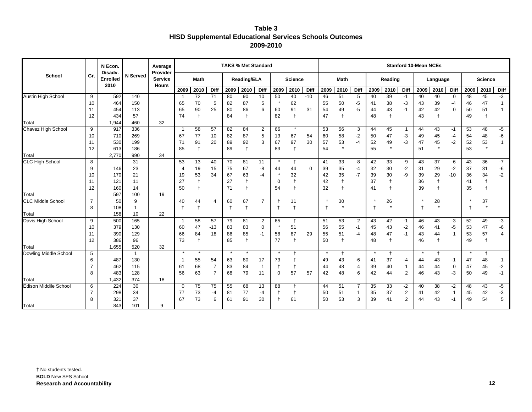| Table 3                                                        |
|----------------------------------------------------------------|
| <b>HISD Supplemental Educational Services Schools Outcomes</b> |
| 2009-2010                                                      |

|                                 |                     | N Econ.<br><b>Disady</b> |                 | Average<br>Provider            |                |                      |                | <b>TAKS % Met Standard</b> |                    |                |              |                  |             |             |               |                |          |               | <b>Stanford 10-Mean NCEs</b>     |          |               |             |          |                |                |
|---------------------------------|---------------------|--------------------------|-----------------|--------------------------------|----------------|----------------------|----------------|----------------------------|--------------------|----------------|--------------|------------------|-------------|-------------|---------------|----------------|----------|---------------|----------------------------------|----------|---------------|-------------|----------|----------------|----------------|
| School                          | Gr.                 | <b>Enrolled</b><br>2010  | <b>N</b> Served | <b>Service</b><br><b>Hours</b> |                | <b>Math</b>          |                |                            | <b>Reading/ELA</b> |                |              | <b>Science</b>   |             |             | <b>Math</b>   |                |          | Reading       |                                  |          | Language      |             |          | <b>Science</b> |                |
|                                 |                     |                          |                 |                                | 2009           | 2010                 | Diff           | 2009                       | 2010               | Diff           | 2009         | 2010             | <b>Diff</b> | 2009        | 2010          | Diff           | 2009     | 2010          | Diff                             | 2009     | 2010          | Diff        | 2009     | 2010           | Diff           |
| <b>Austin High School</b>       | 9                   | 592                      | 140             |                                | -1             | 72                   | 71             | 80                         | 90                 | 10             | 50           | 40               | $-10$       | 46          | 51            | 5              | 40       | 39            | $-1$                             | 40       | 40            | $\mathbf 0$ | 48       | 45             | $-3$           |
|                                 | 10                  | 464                      | 150             |                                | 65             | 70                   | 5              | 82                         | 87                 | 5              |              | 62               |             | 55          | 50            | -5             | 41       | 38            | -3                               | 43       | 39            | -4          | 46       | 47             | -1             |
|                                 | 11                  | 454                      | 113             |                                | 65             | 90                   | 25             | 80                         | 86                 | 6              | 60           | 91               | 31          | 54          | 49            | $-5$           | 44       | 43            | $-1$                             | 42       | 42            | $\mathbf 0$ | 50       | 51             | $\mathbf 1$    |
|                                 | 12                  | 434                      | 57              |                                | 74             | $\ddot{\phantom{1}}$ |                | 84                         | $\ddagger$         |                | 82           | $\ddagger$       |             | 47          | $\ddagger$    |                | 48       | $\ddagger$    |                                  | 43       | $\ddagger$    |             | 49       |                |                |
| Total                           |                     | 1,944                    | 460             | 32                             |                |                      |                |                            |                    |                |              |                  |             |             |               |                |          |               |                                  |          |               |             |          |                |                |
| Chavez High School              | 9                   | 917                      | 336             |                                | $\overline{1}$ | 58                   | 57             | 82                         | 84                 | $\overline{2}$ | 66           | $\star$          |             | 53          | 56            | 3              | 44       | 45            | -1                               | 44       | 43            | $-1$        | 53       | 48             | $-5$           |
|                                 | 10                  | 710                      | 269             |                                | 67             | 77                   | 10             | 82                         | 87                 | 5              | 13           | 67               | 54          | 60          | 58            | $-2$           | 50       | 47            | -3                               | 49       | 45            | $-4$        | 54       | 48             | -6             |
|                                 | 11                  | 530                      | 199             |                                | 71             | 91                   | 20             | 89                         | 92                 | 3              | 67           | 97               | 30          | 57          | 53<br>$\star$ | $-4$           | 52       | 49<br>$\star$ | $-3$                             | 47       | 45<br>$\star$ | $-2$        | 52       | 53<br>$\star$  | $\mathbf{1}$   |
|                                 | 12                  | 613                      | 186             |                                | 85             | $\ddagger$           |                | 89                         | $\ddagger$         |                | 83           | $\ddagger$       |             | 54          |               |                | 55       |               |                                  | 51       |               |             | 53       |                |                |
| Total<br><b>CLC High School</b> | 8                   | 2,770                    | 990<br>31       | 34                             | 53             | 13                   | $-40$          | 70                         | 81                 | 11             | $^\star$     | $\ddagger$       |             | 41          | 33            | -8             | 42       | 33            | -9                               | 43       | 37            | -6          | 43       | 36             | $-7$           |
|                                 | 9                   | 146                      | 23              |                                | 4              | 19                   | 15             | 75                         | 67                 | -8             | 44           | 44               | $\Omega$    | 39          | 35            | $-4$           | 32       | 30            | $-2$                             | 31       | 29            | $-2$        | 37       | 31             | -6             |
|                                 | 10                  | 170                      | 21              |                                | 19             | 53                   | 34             | 67                         | 63                 | $-4$           |              | 32               |             | 42          | 35            | $-7$           | 39       | 30            | -9                               | 39       | 29            | $-10$       | 36       | 34             | $-2$           |
|                                 | 11                  | 121                      | 11              |                                | 27             | $\overline{1}$       |                | 27                         | $\mathsf{t}$       |                | 0            | $\ddagger$       |             | 42          |               |                | 37       | $\ddagger$    |                                  | 36       | $\ddagger$    |             | 41       |                |                |
|                                 | 12                  | 160                      | 14              |                                | 50             | $\ddagger$           |                | 71                         |                    |                | 54           | $\ddagger$       |             | 32          | t             |                | 41       | $\ddagger$    |                                  | 39       | $\ddagger$    |             | 35       |                |                |
| Total                           |                     | 597                      | 100             | 19                             |                |                      |                |                            |                    |                |              |                  |             |             |               |                |          |               |                                  |          |               |             |          |                |                |
| <b>CLC Middle School</b>        | 7                   | 50                       | 9               |                                | 40             | 44                   | 4              | 60                         | 67                 | $\overline{7}$ |              | 11               |             |             | 30            |                |          | 26            |                                  |          | 28            |             |          | 37             |                |
|                                 | 8                   | 108                      |                 |                                | $\pm$          | $\mathsf{t}$         |                | $\overline{1}$             | $\mathsf{t}$       |                | $\mathsf{t}$ | $\mathsf{t}$     |             | $\mathbf +$ |               |                |          |               |                                  |          | $\star$       |             |          |                |                |
| Total                           |                     | 158                      | 10              | 22                             |                |                      |                |                            |                    |                |              |                  |             |             |               |                |          |               |                                  |          |               |             |          |                |                |
| Davis High School               | 9                   | 500                      | 165             |                                | -1             | 58                   | 57             | 79                         | 81                 | 2              | 65           | $\mathsf{t}$     |             | 51          | 53            | $\overline{2}$ | 43       | 42            | -1                               | 46       | 43            | $-3$        | 52       | 49             | $-3$           |
|                                 | 10                  | 379                      | 130             |                                | 60             | 47                   | $-13$          | 83                         | 83                 | 0              | $\star$      | 51               |             | 56          | 55            | $-1$           | 45       | 43            | $-2$                             | 46       | 41            | -5          | 53       | 47             | -6             |
|                                 | 11                  | 390                      | 129             |                                | 66             | 84                   | 18             | 86                         | 85                 | $-1$           | 58           | 87               | 29          | 55          | 51            | $-4$           | 48       | 47            | $-1$                             | 43       | 44            | 1           | 53       | 57             | $\overline{4}$ |
|                                 | 12                  | 386                      | 96              |                                | 73             | $\ddagger$           |                | 85                         | $\ddagger$         |                | 77           | $\ddagger$       |             | 50          |               |                | 48       | $\ddagger$    |                                  | 46       |               |             | 49       |                |                |
| Total                           |                     | 1,655                    | 520             | 32                             |                |                      |                |                            |                    |                |              |                  |             |             |               |                |          |               |                                  |          |               |             |          |                |                |
| Dowling Middle School           | 5                   |                          | $\overline{1}$  |                                | $\star$        |                      |                |                            | $\star$            |                |              |                  |             |             |               |                |          | $\mathbf t$   |                                  |          |               |             | $\star$  |                |                |
|                                 | 6                   | 487                      | 130             |                                | -1             | 55                   | 54             | 63                         | 80                 | 17             | 73           | $\ddagger$       |             | 49          | 43            | -6             | 41       | 37            | -4                               | 44       | 43            | $-1$        | 47       | 48             | $\mathbf{1}$   |
|                                 |                     | 462                      | 115             |                                | 61             | 68                   | $\overline{7}$ | 83                         | 84                 | -1             |              | $\ddagger$       |             | 44          | 48            | 4              | 39       | 40            | $\overline{1}$                   | 44       | 44            | $\mathbf 0$ | 47       | 45             | $-2$           |
|                                 | 8                   | 483                      | 128             |                                | 56             | 63                   | $\overline{7}$ | 68                         | 79                 | 11             | 0            | 57               | 57          | 42          | 48            | 6              | 42       | 44            | $\overline{2}$                   | 46       | 43            | $-3$        | 50       | 49             | $-1$           |
| Total                           |                     | 1,432                    | 374             | 18                             |                |                      |                |                            |                    |                |              |                  |             |             |               |                |          |               |                                  |          |               |             |          |                |                |
| <b>Edison Middile School</b>    | 6<br>$\overline{7}$ | 224                      | 30<br>34        |                                | $\Omega$<br>77 | 75<br>73             | 75             | 55                         | 68                 | 13             | 88           | $\mathsf{t}$     |             | 44          | 51            | $\overline{7}$ | 35       | 33            | $-2$                             | 40       | 38            | $-2$        | 48       | 43<br>42       | $-5$           |
|                                 | 8                   | 298<br>321               | 37              |                                | 67             | 73                   | -4<br>6        | 81<br>61                   | 77<br>91           | -4<br>30       |              | $\ddagger$<br>61 |             | 50<br>50    | 51<br>53      | -1<br>3        | 35<br>39 | 37<br>41      | $\overline{2}$<br>$\overline{2}$ | 41<br>44 | 42<br>43      | 1<br>$-1$   | 45<br>49 | 54             | $-3$<br>5      |
| Total                           |                     | 843                      | 101             | 9                              |                |                      |                |                            |                    |                |              |                  |             |             |               |                |          |               |                                  |          |               |             |          |                |                |
|                                 |                     |                          |                 |                                |                |                      |                |                            |                    |                |              |                  |             |             |               |                |          |               |                                  |          |               |             |          |                |                |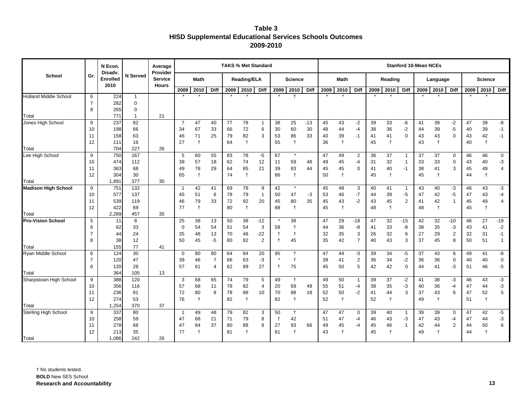| Table 3                                                        |
|----------------------------------------------------------------|
| <b>HISD Supplemental Educational Services Schools Outcomes</b> |
| 2009-2010                                                      |

|                              |                | N Econ.<br>Disadv.      |                 | Average<br>Provider            | <b>TAKS % Met Standard</b> |               |                |          |                    |                |              |                      |             |      | <b>Stanford 10-Mean NCEs</b> |                |      |            |              |    |            |                |      |                |                |
|------------------------------|----------------|-------------------------|-----------------|--------------------------------|----------------------------|---------------|----------------|----------|--------------------|----------------|--------------|----------------------|-------------|------|------------------------------|----------------|------|------------|--------------|----|------------|----------------|------|----------------|----------------|
| School                       | Gr.            | <b>Enrolled</b><br>2010 | <b>N</b> Served | <b>Service</b><br><b>Hours</b> |                            | <b>Math</b>   |                |          | <b>Reading/ELA</b> |                |              | <b>Science</b>       |             |      | <b>Math</b>                  |                |      | Reading    |              |    | Language   |                |      | <b>Science</b> |                |
|                              |                |                         |                 |                                | 2009                       | 2010          | Diff           | 2009     | 2010               | <b>Diff</b>    | 2009         | 2010                 | <b>Diff</b> | 2009 | 2010                         | Diff           | 2009 | 2010       | <b>Diff</b>  |    | 2009 2010  | <b>Diff</b>    | 2009 | 2010           | <b>Diff</b>    |
| <b>Holland Middle School</b> | 6              | 224                     | $\mathbf{1}$    |                                |                            |               |                |          |                    |                |              | $\mathbf t$          |             |      |                              |                |      |            |              |    |            |                |      |                |                |
|                              | $\overline{7}$ | 282                     | $\mathbf 0$     |                                |                            |               |                |          |                    |                |              |                      |             |      |                              |                |      |            |              |    |            |                |      |                |                |
|                              | 8              | 265                     | $\mathbf 0$     |                                |                            |               |                |          |                    |                |              |                      |             |      |                              |                |      |            |              |    |            |                |      |                |                |
| Total                        |                | 771                     |                 | 21                             |                            |               |                |          |                    |                |              |                      |             |      |                              |                |      |            |              |    |            |                |      |                |                |
| Jones High School            | 9              | 237                     | 82              |                                | $\overline{7}$             | 47            | 40             | 77       | 78                 |                | 38           | 25                   | $-13$       | 45   | 43                           | $-2$           | 39   | 33         | -6           | 41 | 39         | $-2$           | 47   | 39             | -8             |
|                              | 10             | 198                     | 66              |                                | 34                         | 67            | 33             | 66       | 72                 | 6              | 30           | 60                   | 30          | 48   | 44                           | -4             | 38   | 36         | $-2$         | 44 | 39         | $-5$           | 40   | 39             | $-1$           |
|                              | 11             | 158                     | 63              |                                | 46                         | 71            | 25             | 79       | 82                 | 3              | 53           | 86                   | 33          | 40   | 39                           | $-1$           | 41   | 41         | $\mathbf 0$  | 43 | 43         | $\mathbf 0$    | 43   | 42             | $-1$           |
|                              | 12             | 111                     | 16              |                                | 27                         | $\ddagger$    |                | 64       | $\ddagger$         |                | 55           | $\ddagger$           |             | 36   | $\ddagger$                   |                | 45   | $\ddagger$ |              | 43 | $\ddagger$ |                | 40   | $\ddagger$     |                |
| Total                        |                | 704                     | 227             | 26                             |                            |               |                |          |                    |                |              |                      |             |      |                              |                |      |            |              |    |            |                |      |                |                |
| Lee High School              | 9              | 750                     | 167             |                                | 5                          | 60            | 55             | 83       | 78                 | $-5$           | 67           |                      |             | 47   | 49                           | $\overline{2}$ | 36   | 37         | -1           | 37 | 37         | 0              | 46   | 46             | $\mathbf 0$    |
|                              | 10             | 474                     | 112             |                                | 39                         | 57            | 18             | 62       | 74                 | 12             | 11           | 59                   | 48          | 49   | 45                           | $-4$           | 31   | 32         | $\mathbf{1}$ | 33 | 33         | $\mathbf 0$    | 43   | 40             | -3             |
|                              | 11             | 363                     | 68              |                                | 49                         | 78            | 29             | 64<br>74 | 85                 | 21             | 39<br>86     | 83                   | 44          | 45   | 45<br>$\ddagger$             | 0              | 41   | 40         | $-1$         | 38 | 41         | 3              | 45   | 49             | $\overline{4}$ |
| Total                        | 12             | 304<br>1,891            | 30<br>377       | 30                             | 65                         | $\ddagger$    |                |          | $\ddagger$         |                |              | $\ddagger$           |             | 50   |                              |                | 45   | $\ddagger$ |              | 45 | $\ddagger$ |                | 44   | $\ddagger$     |                |
| <b>Madison High School</b>   | 9              | 751                     | 132             |                                | $\mathbf 1$                | 42            | 41             | 69       | 78                 | 9              | 42           | $\star$              |             | 45   | 48                           | 3              | 40   | 41         | -1           | 43 | 40         | $-3$           | 46   | 43             | $-3$           |
|                              | 10             | 577                     | 137             |                                | 45                         | 51            | 6              | 78       | 79                 | $\mathbf{1}$   | 50           | 47                   | -3          | 53   | 46                           | $-7$           | 44   | 39         | $-5$         | 47 | 42         | $-5$           | 47   | 43             | -4             |
|                              | 11             | 539                     | 119             |                                | 46                         | 79            | 33             | 72       | 92                 | 20             | 45           | 80                   | 35          | 45   | 43                           | -2             | 43   | 45         | 2            | 41 | 42         | $\mathbf{1}$   | 45   | 49             | $\overline{4}$ |
|                              | 12             | 422                     | 69              |                                | 77                         | $\ddagger$    |                | 80       | $\ddagger$         |                | 88           | $\ddagger$           |             | 45   | $\ddagger$                   |                | 48   | $\ddagger$ |              | 48 | $\ddagger$ |                | 45   | $\ddagger$     |                |
| Total                        |                | 2,289                   | 457             | 35                             |                            |               |                |          |                    |                |              |                      |             |      |                              |                |      |            |              |    |            |                |      |                |                |
| <b>Pro-Vision School</b>     | 5              | 11                      | 8               |                                | 25                         | 38            | 13             | 50       | 38                 | $-12$          | $\star$      | 38                   |             | 47   | 29                           | $-18$          | 47   | 32         | $-15$        | 42 | 32         | $-10$          | 46   | 27             | $-19$          |
|                              | 6              | 62                      | 33              |                                | $\mathbf 0$                | 54            | 54             | 51       | 54                 | 3              | 58           | $\ddagger$           |             | 44   | 36                           | -8             | 41   | 33         | -8           | 38 | 35         | -3             | 43   | 41             | $-2$           |
|                              | 7              | 44                      | 24              |                                | 35                         | 48            | 13             | 70       | 48                 | $-22$          | $\mathsf{t}$ | $\ddagger$           |             | 32   | 35                           | 3              | 26   | 32         | 6            | 27 | 29         | $\overline{2}$ | 32   | 31             | $-1$           |
|                              | 8              | 38                      | 12              |                                | 50                         | 45            | $-5$           | 80       | 82                 | $\overline{2}$ | $\ddagger$   | 45                   |             | 35   | 42                           | $\overline{7}$ | 40   | 43         | 3            | 37 | 45         | 8              | 50   | 51             | $\overline{1}$ |
| Total                        |                | 155                     | 77              | 41                             |                            |               |                |          |                    |                |              |                      |             |      |                              |                |      |            |              |    |            |                |      |                |                |
| Ryan Middle School           | 6              | 124                     | 30              |                                | 0                          | 80            | 80             | 64       | 84                 | 20             | 95           | $\ddagger$           |             | 47   | 44                           | -3             | 39   | 34         | $-5$         | 37 | 43         | 6              | 49   | 41             | -8             |
|                              | $\overline{7}$ | 120                     | 47              |                                | 39                         | 46            | $\overline{7}$ | 66       | 63                 | $-3$           |              | $\ddot{\phantom{1}}$ |             | 39   | 41                           | $\overline{c}$ | 36   | 34         | $-2$         | 36 | 36         | $\mathbf 0$    | 40   | 40             | $\mathbf 0$    |
|                              | 8              | 120                     | 28              |                                | 57                         | 61            | 4              | 62       | 89                 | 27             | $\ddagger$   | 75                   |             | 45   | 50                           | 5              | 42   | 42         | $\mathbf 0$  | 44 | 41         | $-3$           | 51   | 46             | $-5$           |
| Total                        |                | 364                     | 105             | 13                             |                            |               |                |          |                    |                |              |                      |             |      |                              |                |      |            |              |    |            |                |      |                |                |
| Sharpstown High School       | 9              | 388                     | 120             |                                | 3                          | 68            | 65             | 74       | 79                 | 5              | 49           | $\ddagger$           |             | 49   | 50                           | $\mathbf{1}$   | 39   | 37         | $-2$         | 41 | 38         | $-3$           | 46   | 43             | $-3$           |
|                              | 10             | 356                     | 116             |                                | 57                         | 68            | 11             | 78       | 82                 | 4              | 20           | 69                   | 49          | 55   | 51                           | -4             | 38   | 35         | $-3$         | 40 | 36         | -4             | 47   | 44             | -3             |
|                              | 11             | 236                     | 81              |                                | 72                         | 80            | 8              | 78       | 88                 | 10             | 70           | 88                   | 18          | 52   | 50                           | $-2$           | 41   | 44         | 3            | 37 | 43         | 6              | 47   | 52             | 5              |
|                              | 12             | 274                     | 53              |                                | 76                         | $\ddagger$    |                | 82       | $\ddagger$         |                | 82           | $\mathbf{t}$         |             | 52   | $\ddagger$                   |                | 52   | $\ddagger$ |              | 49 | $\ddagger$ |                | 51   | $\ddagger$     |                |
| Total                        |                | 1,254                   | 370             | 37                             |                            |               |                |          |                    |                |              |                      |             |      |                              |                |      |            |              |    |            |                |      |                |                |
| Sterling High School         | 9              | 337                     | 80              |                                | -1                         | 49            | 48             | 79       | 82                 | 3              | 50           | $\mathsf{t}$         |             | 47   | 47                           | 0              | 39   | 40         | -1           | 39 | 39         | 0              | 47   | 42             | $-5$           |
|                              | 10             | 258                     | 59              |                                | 47                         | 68            | 21             | 71       | 79                 | 8              |              | 42                   |             | 51   | 47                           | -4             | 46   | 43         | -3           | 47 | 43         | -4             | 47   | 44             | $-3$           |
|                              | 11             | 278                     | 68              |                                | 47                         | 84            | 37             | 80       | 88                 | 8              | 27           | 93                   | 66          | 49   | 45                           | $-4$           | 45   | 46         | $\mathbf{1}$ | 42 | 44         | $\overline{2}$ | 44   | 50             | 6              |
|                              | 12             | 213                     | 35              |                                | 77                         | $^\mathrm{+}$ |                | 81       | $^{\rm +}$         |                | 81           | $\ddagger$           |             | 43   | $\mathbf{f}$                 |                | 45   |            |              | 49 | $^{\rm +}$ |                | 44   |                |                |
| Total                        |                | 1,086                   | 242             | 26                             |                            |               |                |          |                    |                |              |                      |             |      |                              |                |      |            |              |    |            |                |      |                |                |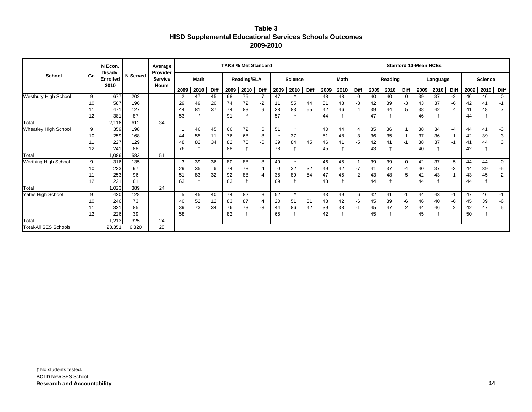| Table 3                                                        |
|----------------------------------------------------------------|
| <b>HISD Supplemental Educational Services Schools Outcomes</b> |
| 2009-2010                                                      |

|                              |     | N Econ.<br>Disady. | <b>N</b> Served | Average<br>Provider<br><b>Service</b><br><b>Hours</b> |             |      |      | <b>TAKS % Met Standard</b> |         |      |                |         |             | <b>Stanford 10-Mean NCEs</b> |      |                |         |      |                |          |      |                |                |      |              |
|------------------------------|-----|--------------------|-----------------|-------------------------------------------------------|-------------|------|------|----------------------------|---------|------|----------------|---------|-------------|------------------------------|------|----------------|---------|------|----------------|----------|------|----------------|----------------|------|--------------|
| School                       | Gr. | Enrolled<br>2010   |                 |                                                       | <b>Math</b> |      |      | <b>Reading/ELA</b>         |         |      | <b>Science</b> |         |             | <b>Math</b>                  |      |                | Reading |      |                | Language |      |                | <b>Science</b> |      |              |
|                              |     |                    |                 |                                                       | 2009        | 2010 | Diff | 2009                       | 2010    | Diff | 2009           | 2010    | <b>Diff</b> | 2009                         | 2010 | Diff           | 2009    | 2010 | Diff           | 2009     | 2010 | Diff           | 2009           | 2010 | <b>Diff</b>  |
| <b>Westbury High School</b>  | 9   | 677                | 202             |                                                       | 2           | 47   | 45   | 68                         | 75      |      | 47             |         |             | 48                           | 48   | 0              | 40      | 40   |                | 39       | 37   | $-2$           | 46             | 46   | $\mathbf{0}$ |
|                              | 10  | 587                | 196             |                                                       | 29          | 49   | 20   | 74                         | 72      | -2   | 11             | 55      | 44          | 51                           | 48   | -3             | 42      | 39   | -3             | 43       | 37   | -6             | 42             | 41   | -1           |
|                              |     | 471                | 127             |                                                       | 44          | 81   | 37   | 74                         | 83      | 9    | 28             | 83      | 55          | 42                           | 46   | 4              | 39      | 44   | 5              | 38       | 42   | 4              | 41             | 48   |              |
|                              | 12  | 381                | 87              |                                                       | 53          |      |      | 91                         | $\star$ |      | 57             | $\star$ |             | 44                           |      |                | 47      |      |                | 46       |      |                | 44             |      |              |
| Total                        |     | 2.116              | 612             | 34                                                    |             |      |      |                            |         |      |                |         |             |                              |      |                |         |      |                |          |      |                |                |      |              |
| Wheatley High School         | 9   | 359                | 198             |                                                       |             | 46   | 45   | 66                         | 72      | 6    | 51             | $\star$ |             | 40                           | 44   | $\overline{4}$ | 35      | 36   |                | 38       | 34   | -4             | 44             | 41   | $-3$         |
|                              | 10  | 259                | 168             |                                                       | 44          | 55   | 11   | 76                         | 68      | -8   |                | 37      |             | 51                           | 48   | -3             | 36      | 35   | -1             | 37       | 36   | -1             | 42             | 39   | $-3$         |
|                              |     | 227                | 129             |                                                       | 48          | 82   | 34   | 82                         | 76      | -6   | 39             | 84      | 45          | 46                           | 41   | -5             | 42      | 41   | -1             | 38       | 37   | -1             | 41             | 44   | 3            |
|                              | 12  | 241                | 88              |                                                       | 76          |      |      | 88                         |         |      | 78             |         |             | 45                           |      |                | 43      |      |                | 40       |      |                | 42             |      |              |
| Total                        |     | 1,086              | 583             | 51                                                    |             |      |      |                            |         |      |                |         |             |                              |      |                |         |      |                |          |      |                |                |      |              |
| Worthing High School         | 9   | 316                | 135             |                                                       | 3           | 39   | 36   | 80                         | 88      | 8    | 49             | $\star$ |             | 46                           | 45   | $-1$           | 39      | 39   | $\mathbf 0$    | 42       | 37   | -5             | 44             | 44   | $\mathbf 0$  |
|                              | 10  | 233                | 97              |                                                       | 29          | 35   | 6    | 74                         | 78      | 4    | 0              | 32      | 32          | 49                           | 42   | -7             | 41      | 37   | -4             | 40       | 37   | -3             | 44             | 39   | -5           |
|                              |     | 253                | 96              |                                                       | 51          | 83   | 32   | 92                         | 88      | $-4$ | 35             | 89      | 54          | 47                           | 45   | $-2$           | 43      | 48   | 5              | 42       | 43   |                | 43             | 45   | 2            |
|                              | 12  | 221                | 61              |                                                       | 63          |      |      | 83                         |         |      | 69             |         |             | 43                           |      |                | 44      |      |                | 44       |      |                | 44             |      |              |
| Total                        |     | 1,023              | 389             | 24                                                    |             |      |      |                            |         |      |                |         |             |                              |      |                |         |      |                |          |      |                |                |      |              |
| Yates High School            | 9   | 420                | 128             |                                                       | 5           | 45   | 40   | 74                         | 82      | 8    | 52             | $\star$ |             | 43                           | 49   | 6              | 42      | 41   | $-1$           | 44       | 43   | $-1$           | 47             | 46   | $-1$         |
|                              | 10  | 246                | 73              |                                                       | 40          | 52   | 12   | 83                         | 87      | 4    | 20             | 51      | 31          | 48                           | 42   | -6             | 45      | 39   | -6             | 46       | 40   | -6             | 45             | 39   | -6           |
|                              |     | 321                | 85              |                                                       | 39          | 73   | 34   | 76                         | 73      | -3   | 44             | 86      | 42          | 39                           | 38   | $-1$           | 45      | 47   | $\overline{2}$ | 44       | 46   | $\overline{2}$ | 42             | 47   | 5            |
|                              | 12  | 226                | 39              |                                                       | 58          |      |      | 82                         |         |      | 65             |         |             | 42                           |      |                | 45      |      |                | 45       |      |                | 50             |      |              |
| Total                        |     | 1,213              | 325             | 24                                                    |             |      |      |                            |         |      |                |         |             |                              |      |                |         |      |                |          |      |                |                |      |              |
| <b>Total-All SES Schools</b> |     | 23.35'             | 6,320           | 28                                                    |             |      |      |                            |         |      |                |         |             |                              |      |                |         |      |                |          |      |                |                |      |              |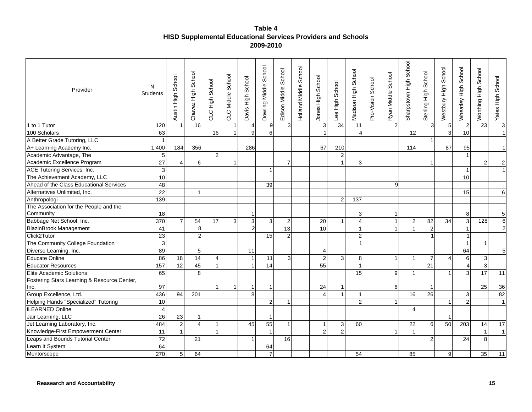## **Table 4 HISD Supplemental Educational Services Providers and Schools 2009-2010**

| Provider                                    | N<br><b>Students</b>    | School<br>동<br>도<br>Austin | Chavez High School | High School<br>CLC | CLC Middle School | Davis High School | Dowling Middle School | Edison Middle School | Holland Middle School | Jones High School         | -ee High School | Madison High School | Pro-Vision School | Ryan Middle School | Sharpstown High School | Sterling High School | <b>Nestbury High School</b> | Wheatley High School    | Worthing High School | Yates High School       |
|---------------------------------------------|-------------------------|----------------------------|--------------------|--------------------|-------------------|-------------------|-----------------------|----------------------|-----------------------|---------------------------|-----------------|---------------------|-------------------|--------------------|------------------------|----------------------|-----------------------------|-------------------------|----------------------|-------------------------|
| 1 to 1 Tutor                                | 120                     | $\overline{1}$             | 16                 |                    | $\mathbf{1}$      | $\overline{4}$    | 9                     | 3 <sup>l</sup>       |                       | $\ensuremath{\mathsf{3}}$ | 34              | 11                  |                   | $\overline{2}$     |                        | $\mathbf{3}$         | $\sqrt{5}$                  | $\sqrt{2}$              | 23                   | $\overline{\mathbf{3}}$ |
| 100 Scholars                                | 63                      |                            |                    | 16                 | $\overline{1}$    | 9                 | $\overline{6}$        |                      |                       |                           |                 | $\overline{4}$      |                   |                    | 12                     |                      | $\overline{3}$              | 10                      |                      | $\mathbf{1}$            |
| A Better Grade Tutoring, LLC                | $\mathbf{1}$            |                            |                    |                    |                   |                   |                       |                      |                       |                           |                 |                     |                   |                    |                        | $\mathbf{1}$         |                             |                         |                      |                         |
| A+ Learning Academy Inc.                    | 1,400                   | 184                        | 356                |                    |                   | 286               |                       |                      |                       | 67                        | 210             |                     |                   |                    | 114                    |                      | 87                          | 95                      |                      |                         |
| Academic Advantage, The                     | $\sqrt{5}$              |                            |                    | $\overline{2}$     |                   |                   |                       |                      |                       |                           | $\overline{2}$  |                     |                   |                    |                        |                      |                             | $\overline{1}$          |                      |                         |
| Academic Excellence Program                 | 27                      | $\boldsymbol{\Delta}$      | 6                  |                    | $\mathbf{1}$      |                   |                       | $\overline{7}$       |                       |                           | $\overline{1}$  | 3                   |                   |                    |                        | $\mathbf{1}$         |                             |                         | $\overline{2}$       | $\sqrt{2}$              |
| ACE Tutoring Services, Inc.                 | $\mathbf{3}$            |                            |                    |                    |                   |                   | $\mathbf{1}$          |                      |                       |                           |                 |                     |                   |                    |                        |                      |                             | $\mathbf{1}$            |                      |                         |
| The Achievement Academy, LLC                | 10                      |                            |                    |                    |                   |                   |                       |                      |                       |                           |                 |                     |                   |                    |                        |                      |                             | 10                      |                      |                         |
| Ahead of the Class Educational Services     | 48                      |                            |                    |                    |                   |                   | 39                    |                      |                       |                           |                 |                     |                   | 9                  |                        |                      |                             |                         |                      |                         |
| Alternatives Unlimited, Inc.                | 22                      |                            | $\mathbf{1}$       |                    |                   |                   |                       |                      |                       |                           |                 |                     |                   |                    |                        |                      |                             | 15                      |                      | 6 <sup>1</sup>          |
| Anthropologi                                | 139                     |                            |                    |                    |                   |                   |                       |                      |                       |                           | $\overline{2}$  | 137                 |                   |                    |                        |                      |                             |                         |                      |                         |
| The Association for the People and the      |                         |                            |                    |                    |                   |                   |                       |                      |                       |                           |                 |                     |                   |                    |                        |                      |                             |                         |                      |                         |
| Community                                   | 18                      |                            |                    |                    |                   |                   |                       |                      |                       |                           |                 | 3                   |                   | $\mathbf 1$        |                        |                      |                             | 8                       |                      | $5\phantom{.0}$         |
| Babbage Net School, Inc.                    | 370                     | $\overline{7}$             | 54                 | 17                 | $\sqrt{3}$        | $\mathbf{3}$      | $\mathbf{3}$          | $\overline{c}$       |                       | 20                        | $\overline{1}$  | $\overline{4}$      |                   | $\mathbf{1}$       | $\overline{c}$         | 82                   | 34                          | $\mathbf{3}$            | 128                  | $\sigma$                |
| <b>BlazinBrook Management</b>               | 41                      |                            | $\bf 8$            |                    |                   | $\overline{2}$    |                       | $\overline{13}$      |                       | 10 <sup>1</sup>           |                 | $\mathbf{1}$        |                   | $\mathbf{1}$       | $\mathbf{1}$           | $\overline{c}$       |                             | $\overline{1}$          |                      | $\overline{2}$          |
| Click2Tutor                                 | 23                      |                            | $\overline{2}$     |                    |                   |                   | 15                    | $\overline{2}$       |                       |                           |                 | $\overline{c}$      |                   |                    |                        |                      |                             |                         |                      |                         |
| The Community College Foundation            | $\mathbf{3}$            |                            |                    |                    |                   |                   |                       |                      |                       |                           |                 | $\mathbf 1$         |                   |                    |                        |                      |                             | $\overline{\mathbf{1}}$ | $\mathbf{1}$         |                         |
| Diverse Learning, Inc.                      | 89                      |                            | 5                  |                    |                   | 11                |                       |                      |                       | $\overline{4}$            |                 |                     |                   |                    |                        |                      |                             | 64                      |                      | 5 <sub>5</sub>          |
| <b>Educate Online</b>                       | 86                      | 18                         | $\overline{14}$    | 4                  |                   | $\overline{1}$    | 11                    | $\overline{3}$       |                       | $\overline{c}$            | 3               | 8                   |                   | $\mathbf{1}$       | $\mathbf{1}$           | $\overline{7}$       | 4                           | $\,6\,$                 | $\sqrt{3}$           |                         |
| <b>Educator Resources</b>                   | 157                     | 12                         | 45                 | $\overline{1}$     |                   | $\overline{1}$    | 14                    |                      |                       | 55                        |                 | $\mathbf{1}$        |                   |                    |                        | 21                   |                             | $\overline{4}$          | $\mathbf{3}$         |                         |
| Elite Academic Solutions                    | 65                      |                            | 8                  |                    |                   |                   |                       |                      |                       |                           |                 | 15                  |                   | 9                  | 1                      |                      | $\mathbf{1}$                | $\overline{3}$          | 17                   | 11                      |
| Fostering Stars Learning & Resource Center, |                         |                            |                    |                    |                   |                   |                       |                      |                       |                           |                 |                     |                   |                    |                        |                      |                             |                         |                      |                         |
| Inc.                                        | 97                      |                            |                    | -1                 | 1                 | -1                | 1                     |                      |                       | 24                        | -1              |                     |                   | 6                  |                        | $\mathbf 1$          |                             |                         | 25                   | 36                      |
| Group Excellence, Ltd.                      | 436                     | 94                         | 201                |                    |                   | 8                 |                       |                      |                       | 4                         | $\overline{1}$  | $\mathbf{1}$        |                   |                    | 16                     | 26                   |                             | $\mathbf{3}$            |                      | 82                      |
| Helping Hands "Specialized" Tutoring        | 10                      |                            |                    |                    |                   |                   | $\overline{2}$        | 1                    |                       |                           |                 | $\overline{2}$      |                   | $\overline{1}$     |                        |                      |                             | $\overline{2}$          |                      | $\overline{1}$          |
| <b>iLEARNED Online</b>                      | $\overline{\mathbf{4}}$ |                            |                    |                    |                   |                   |                       |                      |                       |                           |                 |                     |                   |                    | $\overline{4}$         |                      |                             |                         |                      |                         |
| Jair Learning, LLC                          | 26                      | 23                         | $\mathbf{1}$       |                    |                   |                   | $\mathbf{1}$          |                      |                       |                           |                 |                     |                   |                    |                        |                      |                             |                         |                      |                         |
| Jet Learning Laboratory, Inc.               | 484                     | $\overline{2}$             | $\overline{4}$     | -1                 |                   | 45                | 55                    | $\mathbf{1}$         |                       | $\mathbf{1}$              | 3               | 60                  |                   |                    | 22                     | 6                    | 50                          | 203                     | 14                   | 17                      |
| Knowledge-First Empowerment Center          | 11                      | $\overline{1}$             |                    | 1                  |                   |                   | $\mathbf{1}$          |                      |                       | 2                         | $\overline{2}$  |                     |                   | $\mathbf 1$        | $\mathbf{1}$           |                      |                             |                         | $\mathbf{1}$         | $\mathbf{1}$            |
| Leaps and Bounds Tutorial Center            | 72                      |                            | 21                 |                    |                   | $\overline{1}$    |                       | 16                   |                       |                           |                 |                     |                   |                    |                        | $\overline{2}$       |                             | 24                      | 8                    |                         |
| Learn It System                             | 64                      |                            |                    |                    |                   |                   | 64                    |                      |                       |                           |                 |                     |                   |                    |                        |                      |                             |                         |                      |                         |
| Mentorscope                                 | 270                     | $5\phantom{.0}$            | 64                 |                    |                   |                   | $\overline{7}$        |                      |                       |                           |                 | 54                  |                   |                    | 85                     |                      | 9                           |                         | 35                   | 11                      |